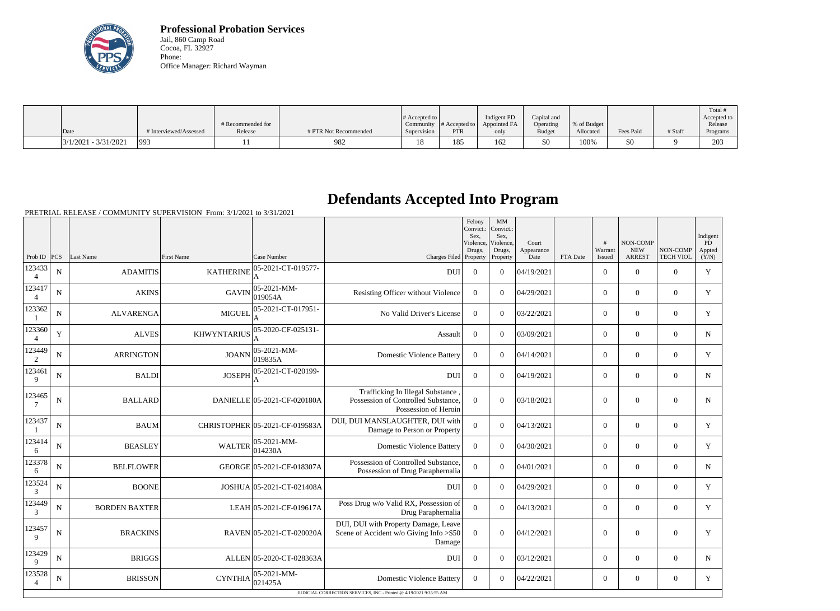

**Professional Probation Services** Jail, 860 Camp Road Cocoa, FL 32927 Phone: Office Manager: Richard Wayman

|                        |                        |                   |                       |                  |                           |              |               |             |           |         | Total <sup>+</sup> |
|------------------------|------------------------|-------------------|-----------------------|------------------|---------------------------|--------------|---------------|-------------|-----------|---------|--------------------|
|                        |                        |                   |                       | $\#$ Accepted to |                           | Indigent PD  | Capital and   |             |           |         | Accepted to        |
|                        |                        | # Recommended for |                       | Community        | $\parallel$ # Accepted to | Appointed FA | Operating     | % of Budget |           |         | Release            |
| Date                   | # Interviewed/Assessed | Release           | # PTR Not Recommended | Supervision      | <b>PTR</b>                | only         | <b>Budget</b> | Allocated   | Fees Paid | # Staff | Programs           |
| $3/1/2021 - 3/31/2021$ | 993                    |                   | 982                   | 1 O<br>10        | 185                       | 62           | \$0           | 100%        | \$0       |         | 203                |

# **Defendants Accepted Into Program**

|                          |                |                      |                    |                                |                                                                                                  | Felony<br>Convict.:<br>Sex.<br>Violence,<br>Drugs, | MM<br>Convict.:<br>Sex.<br>Violence.<br>Drugs, | Court<br>Appearance |          | #<br>Warrant   | NON-COMP<br><b>NEW</b> | NON-COMP         | Indigent<br>PD<br>Appted |
|--------------------------|----------------|----------------------|--------------------|--------------------------------|--------------------------------------------------------------------------------------------------|----------------------------------------------------|------------------------------------------------|---------------------|----------|----------------|------------------------|------------------|--------------------------|
| Prob ID                  | PCS            | Last Name            | <b>First Name</b>  | Case Number                    | Charges Filed Property                                                                           |                                                    | Property                                       | Date                | FTA Date | Issued         | <b>ARREST</b>          | <b>TECH VIOL</b> | (Y/N)                    |
| 123433<br>$\overline{4}$ | $\mathbf N$    | <b>ADAMITIS</b>      | <b>KATHERINE</b>   | 05-2021-CT-019577-             | <b>DUI</b>                                                                                       | $\overline{0}$                                     | $\theta$                                       | 04/19/2021          |          | $\overline{0}$ | $\theta$               | $\overline{0}$   | Y                        |
| 123417<br>$\overline{4}$ | $\overline{N}$ | <b>AKINS</b>         | <b>GAVIN</b>       | 05-2021-MM-<br>019054A         | Resisting Officer without Violence                                                               | $\theta$                                           | $\Omega$                                       | 04/29/2021          |          | $\overline{0}$ | $\theta$               | $\theta$         | Y                        |
| 123362<br>$\mathbf{1}$   | ${\bf N}$      | <b>ALVARENGA</b>     | <b>MIGUEI</b>      | 05-2021-CT-017951-             | No Valid Driver's License                                                                        | $\overline{0}$                                     | $\overline{0}$                                 | 03/22/2021          |          | $\overline{0}$ | $\overline{0}$         | $\overline{0}$   | $\mathbf Y$              |
| 123360<br>$\overline{4}$ | $\mathbf Y$    | <b>ALVES</b>         | <b>KHWYNTARIUS</b> | 05-2020-CF-025131-             | Assault                                                                                          | $\overline{0}$                                     | $\theta$                                       | 03/09/2021          |          | $\overline{0}$ | $\theta$               | $\overline{0}$   | ${\bf N}$                |
| 123449<br>2              | $\mathbf N$    | <b>ARRINGTON</b>     | <b>JOANN</b>       | 05-2021-MM-<br>019835A         | <b>Domestic Violence Battery</b>                                                                 | $\Omega$                                           | $\Omega$                                       | 04/14/2021          |          | $\Omega$       | $\theta$               | $\overline{0}$   | Y                        |
| 123461<br>9              | $\mathbf N$    | <b>BALDI</b>         | <b>JOSEPH</b>      | 05-2021-CT-020199-             | <b>DUI</b>                                                                                       | $\overline{0}$                                     | $\theta$                                       | 04/19/2021          |          | $\overline{0}$ | $\theta$               | $\overline{0}$   | $N_{\rm}$                |
| 123465                   | $\mathbf N$    | <b>BALLARD</b>       |                    | DANIELLE 05-2021-CF-020180A    | Trafficking In Illegal Substance.<br>Possession of Controlled Substance,<br>Possession of Heroin | $\theta$                                           | $\theta$                                       | 03/18/2021          |          | $\overline{0}$ | $\theta$               | $\overline{0}$   | $\mathbf N$              |
| 123437<br>-1             | $\mathbf N$    | <b>BAUM</b>          |                    | CHRISTOPHER 05-2021-CF-019583A | DUI, DUI MANSLAUGHTER, DUI with<br>Damage to Person or Property                                  | $\overline{0}$                                     | $\overline{0}$                                 | 04/13/2021          |          | $\overline{0}$ | $\mathbf{0}$           | $\overline{0}$   | Y                        |
| 123414<br>6              | N              | <b>BEASLEY</b>       | <b>WALTER</b>      | 05-2021-MM-<br>014230A         | <b>Domestic Violence Battery</b>                                                                 | $\theta$                                           | $\Omega$                                       | 04/30/2021          |          | $\Omega$       | $\Omega$               | $\theta$         | Y                        |
| 123378<br>6              | $\mathbf N$    | <b>BELFLOWER</b>     |                    | GEORGE 05-2021-CF-018307A      | Possession of Controlled Substance,<br>Possession of Drug Paraphernalia                          | $\overline{0}$                                     | $\theta$                                       | 04/01/2021          |          | $\Omega$       | $\theta$               | $\theta$         | $N_{\rm}$                |
| 123524<br>3              | ${\bf N}$      | <b>BOONE</b>         |                    | JOSHUA 05-2021-CT-021408A      | DUI                                                                                              | $\boldsymbol{0}$                                   | $\theta$                                       | 04/29/2021          |          | $\overline{0}$ | $\theta$               | $\overline{0}$   | Y                        |
| 123449<br>3              | ${\bf N}$      | <b>BORDEN BAXTER</b> |                    | LEAH 05-2021-CF-019617A        | Poss Drug w/o Valid RX, Possession of<br>Drug Paraphernalia                                      | $\mathbf{0}$                                       | $\theta$                                       | 04/13/2021          |          | $\overline{0}$ | $\mathbf{0}$           | $\overline{0}$   | Y                        |
| 123457<br>9              | $\mathbf N$    | <b>BRACKINS</b>      |                    | RAVEN 05-2021-CT-020020A       | DUI, DUI with Property Damage, Leave<br>Scene of Accident w/o Giving Info > \$50<br>Damage       | $\mathbf{0}$                                       | $\overline{0}$                                 | 04/12/2021          |          | $\Omega$       | $\mathbf{0}$           | $\overline{0}$   | Y                        |
| 123429<br>9              | $\mathbf N$    | <b>BRIGGS</b>        |                    | ALLEN 05-2020-CT-028363A       | <b>DUI</b>                                                                                       | $\theta$                                           | $\theta$                                       | 03/12/2021          |          | $\Omega$       | $\theta$               | $\overline{0}$   | $N_{\rm}$                |
| 123528<br>$\overline{4}$ | $\mathbf N$    | <b>BRISSON</b>       | <b>CYNTHIA</b>     | 05-2021-MM-<br>021425A         | <b>Domestic Violence Battery</b>                                                                 | $\overline{0}$                                     | $\theta$                                       | 04/22/2021          |          | $\overline{0}$ | $\overline{0}$         | $\overline{0}$   | Y                        |
|                          |                |                      |                    |                                | JUDICIAL CORRECTION SERVICES, INC - Printed @ 4/19/2021 9:35:55 AM                               |                                                    |                                                |                     |          |                |                        |                  |                          |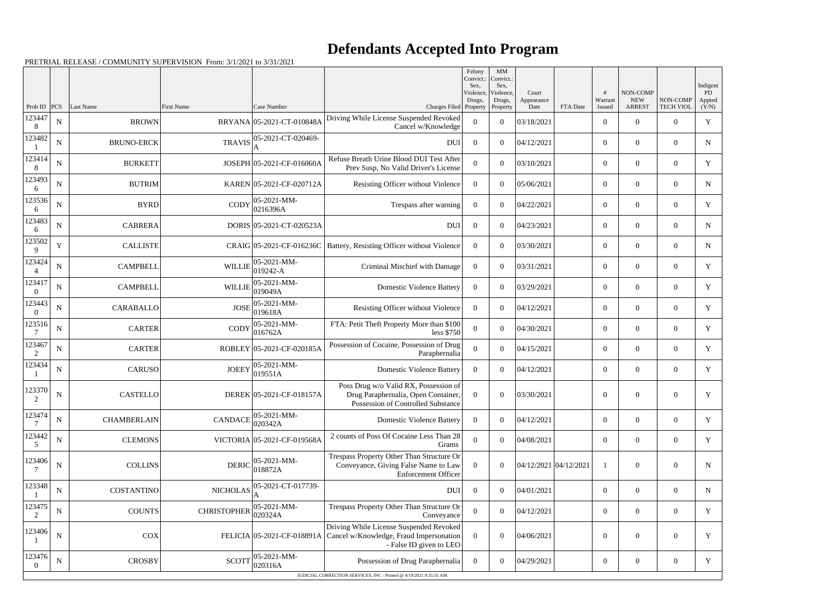|                    |             |                    |                    |                             |                                                                                                                                          | Felony<br>Convict.:<br>Sex, | $\mathbf{M}\mathbf{M}$<br>Convict.:<br>Sex, |                       |          |                   |                                         |                              | Indigent             |
|--------------------|-------------|--------------------|--------------------|-----------------------------|------------------------------------------------------------------------------------------------------------------------------------------|-----------------------------|---------------------------------------------|-----------------------|----------|-------------------|-----------------------------------------|------------------------------|----------------------|
| Prob ID            | PCS         | Last Name          | <b>First Name</b>  | Case Number                 |                                                                                                                                          | Violence.<br>Drugs,         | Violence.<br>Drugs,                         | Court<br>Appearance   | FTA Date | Warrant<br>Issued | NON-COMP<br><b>NEW</b><br><b>ARREST</b> | NON-COMP<br><b>TECH VIOL</b> | PD<br>Appted         |
| 123447<br>8        | ${\bf N}$   | <b>BROWN</b>       |                    | BRYANA 05-2021-CT-010848A   | Charges Filed Property<br>Driving While License Suspended Revoked<br>Cancel w/Knowledge                                                  | $\Omega$                    | Property<br>$\theta$                        | Date<br>03/18/2021    |          | $\boldsymbol{0}$  | $\theta$                                | $\theta$                     | (Y/N)<br>$\mathbf Y$ |
| 123482             | ${\bf N}$   | <b>BRUNO-ERCK</b>  | <b>TRAVIS</b>      | 05-2021-CT-020469-          | <b>DUI</b>                                                                                                                               | $\overline{0}$              | $\theta$                                    | 04/12/2021            |          | $\mathbf{0}$      | $\Omega$                                | $\Omega$                     | N                    |
| 123414<br>8        | ${\bf N}$   | <b>BURKETT</b>     |                    | JOSEPH 05-2021-CF-016060A   | Refuse Breath Urine Blood DUI Test After<br>Prev Susp, No Valid Driver's License                                                         | $\Omega$                    | $\theta$                                    | 03/10/2021            |          | $\mathbf{0}$      | $\overline{0}$                          | $\overline{0}$               | Y                    |
| 123493<br>6        | ${\bf N}$   | <b>BUTRIM</b>      |                    | KAREN 05-2021-CF-020712A    | Resisting Officer without Violence                                                                                                       | $\theta$                    | $\theta$                                    | 05/06/2021            |          | $\mathbf{0}$      | $\overline{0}$                          | $\theta$                     | N                    |
| 123536<br>6        | ${\bf N}$   | <b>BYRD</b>        | <b>CODY</b>        | 05-2021-MM-<br>0216396A     | Trespass after warning                                                                                                                   | $\overline{0}$              | $\theta$                                    | 04/22/2021            |          | $\overline{0}$    | $\theta$                                | $\theta$                     | Y                    |
| 123483<br>6        | $\mathbf N$ | <b>CABRERA</b>     |                    | DORIS 05-2021-CT-020523A    | <b>DUI</b>                                                                                                                               | $\overline{0}$              | $\theta$                                    | 04/23/2021            |          | $\mathbf{0}$      | $\overline{0}$                          | $\Omega$                     | N                    |
| 123502<br>9        | $\mathbf Y$ | <b>CALLISTE</b>    |                    | CRAIG 05-2021-CF-016236C    | Battery, Resisting Officer without Violence                                                                                              | $\overline{0}$              | $\theta$                                    | 03/30/2021            |          | $\mathbf{0}$      | $\overline{0}$                          | $\theta$                     | $\mathbf N$          |
| 123424             | ${\bf N}$   | <b>CAMPBELL</b>    | <b>WILLIE</b>      | 05-2021-MM-<br>019242-A     | Criminal Mischief with Damage                                                                                                            | $\overline{0}$              | $\theta$                                    | 03/31/2021            |          | $\overline{0}$    | $\overline{0}$                          | $\theta$                     | Y                    |
| 123417<br>$\Omega$ | ${\bf N}$   | <b>CAMPBELL</b>    | <b>WILLIE</b>      | 05-2021-MM-<br>019049A      | <b>Domestic Violence Battery</b>                                                                                                         | $\overline{0}$              | $\theta$                                    | 03/29/2021            |          | $\overline{0}$    | $\overline{0}$                          | $\theta$                     | Y                    |
| 123443<br>$\Omega$ | $\mathbf N$ | <b>CARABALLO</b>   | <b>JOSE</b>        | 05-2021-MM-<br>019618A      | Resisting Officer without Violence                                                                                                       | $\Omega$                    | $\theta$                                    | 04/12/2021            |          | $\overline{0}$    | $\overline{0}$                          | $\Omega$                     | Y                    |
| 123516             | ${\bf N}$   | <b>CARTER</b>      | <b>CODY</b>        | 05-2021-MM-<br>016762A      | FTA: Petit Theft Property More than \$100<br>less \$750                                                                                  | $\Omega$                    | $\theta$                                    | 04/30/2021            |          | $\mathbf{0}$      | $\Omega$                                | $\theta$                     | $\mathbf Y$          |
| 123467<br>2        | ${\bf N}$   | <b>CARTER</b>      |                    | ROBLEY 05-2021-CF-020185A   | Possession of Cocaine, Possession of Drug<br>Paraphernalia                                                                               | $\Omega$                    | $\theta$                                    | 04/15/2021            |          | $\overline{0}$    | $\overline{0}$                          | $\theta$                     | Y                    |
| 123434             | ${\bf N}$   | <b>CARUSO</b>      | <b>JOEEY</b>       | 05-2021-MM-<br>019551A      | <b>Domestic Violence Battery</b>                                                                                                         | $\overline{0}$              | $\theta$                                    | 04/12/2021            |          | $\overline{0}$    | $\overline{0}$                          | $\overline{0}$               | Y                    |
| 123370<br>2        | $\mathbf N$ | <b>CASTELLO</b>    |                    | DEREK 05-2021-CF-018157A    | Poss Drug w/o Valid RX, Possession of<br>Drug Paraphernalia, Open Container,<br>Possession of Controlled Substance                       | $\theta$                    | $\overline{0}$                              | 03/30/2021            |          | $\overline{0}$    | $\overline{0}$                          | $\theta$                     | Y                    |
| 123474             | ${\bf N}$   | <b>CHAMBERLAIN</b> | <b>CANDACE</b>     | 05-2021-MM-<br>020342A      | <b>Domestic Violence Battery</b>                                                                                                         | $\overline{0}$              | $\overline{0}$                              | 04/12/2021            |          | $\boldsymbol{0}$  | $\boldsymbol{0}$                        | $\mathbf{0}$                 | Y                    |
| 123442<br>5        | $\mathbf N$ | <b>CLEMONS</b>     |                    | VICTORIA 05-2021-CF-019568A | 2 counts of Poss Of Cocaine Less Than 28<br>Grams                                                                                        | $\overline{0}$              | $\overline{0}$                              | 04/08/2021            |          | $\boldsymbol{0}$  | $\overline{0}$                          | $\overline{0}$               | Y                    |
| 123406             | ${\bf N}$   | <b>COLLINS</b>     | <b>DERIC</b>       | 05-2021-MM-<br>018872A      | Trespass Property Other Than Structure Or<br>Conveyance, Giving False Name to Law<br><b>Enforcement Officer</b>                          | $\Omega$                    | $\overline{0}$                              | 04/12/2021 04/12/2021 |          |                   | $\boldsymbol{0}$                        | $\mathbf{0}$                 | $\mathbf N$          |
| 123348             | ${\bf N}$   | COSTANTINO         | <b>NICHOLAS</b>    | 05-2021-CT-017739-          | DUI                                                                                                                                      | $\overline{0}$              | $\overline{0}$                              | 04/01/2021            |          | $\overline{0}$    | $\overline{0}$                          | $\overline{0}$               | N                    |
| 123475<br>2        | ${\bf N}$   | COUNTS             | <b>CHRISTOPHER</b> | 05-2021-MM-<br>020324A      | Trespass Property Other Than Structure Or<br>Conveyance                                                                                  | $\overline{0}$              | $\overline{0}$                              | 04/12/2021            |          | $\overline{0}$    | $\overline{0}$                          | $\overline{0}$               | Y                    |
| 123406             | ${\bf N}$   | $\cos$             |                    |                             | Driving While License Suspended Revoked<br>FELICIA 05-2021-CF-018891A Cancel w/Knowledge, Fraud Impersonation<br>- False ID given to LEO | $\overline{0}$              | $\overline{0}$                              | 04/06/2021            |          | $\mathbf{0}$      | $\boldsymbol{0}$                        | $\overline{0}$               | Y                    |
| 123476<br>$\theta$ | ${\bf N}$   | CROSBY             | <b>SCOTT</b>       | 05-2021-MM-<br>020316A      | Possession of Drug Paraphernalia                                                                                                         | $\overline{0}$              | $\overline{0}$                              | 04/29/2021            |          | $\overline{0}$    | $\overline{0}$                          | $\overline{0}$               | Y                    |
|                    |             |                    |                    |                             | JUDICIAL CORRECTION SERVICES, INC - Printed @ 4/19/2021 9:35:55 AM                                                                       |                             |                                             |                       |          |                   |                                         |                              |                      |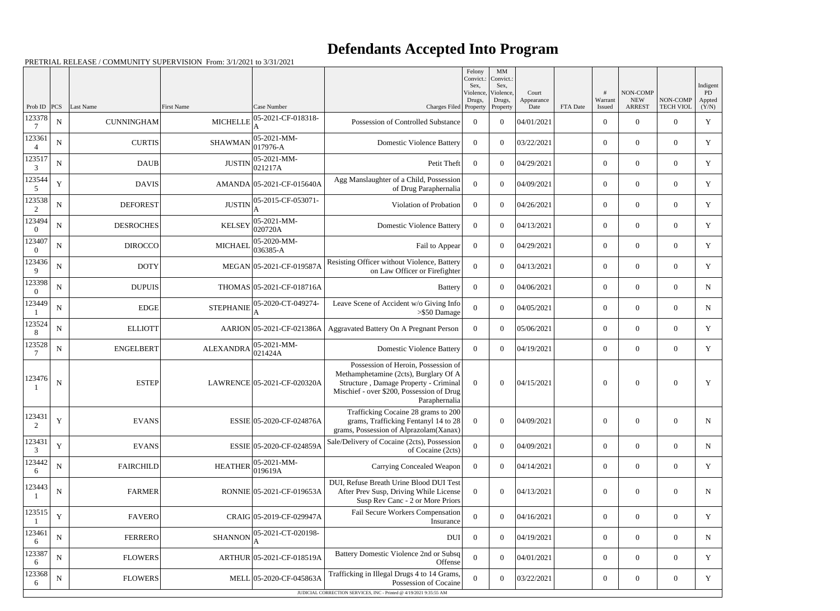|                          |             |                      |                  |                             |                                                                                                                                                                                     | Felony<br>Convict.:<br>Sex, | $\mathbf{M}\mathbf{M}$<br>Convict.:<br>Sex, |                             |          |                   |                                                |                              | Indigent              |
|--------------------------|-------------|----------------------|------------------|-----------------------------|-------------------------------------------------------------------------------------------------------------------------------------------------------------------------------------|-----------------------------|---------------------------------------------|-----------------------------|----------|-------------------|------------------------------------------------|------------------------------|-----------------------|
| Prob ID                  |             | <b>PCS</b> Last Name | First Name       | Case Number                 | Charges Filed Property                                                                                                                                                              | Violence,<br>Drugs,         | Violence,<br>Drugs,<br>Property             | Court<br>Appearance<br>Date | FTA Date | Warrant<br>Issued | <b>NON-COMP</b><br><b>NEW</b><br><b>ARREST</b> | NON-COMP<br><b>TECH VIOL</b> | PD<br>Appted<br>(Y/N) |
| 123378                   | ${\bf N}$   | <b>CUNNINGHAM</b>    | <b>MICHELLE</b>  | 05-2021-CF-018318-          | Possession of Controlled Substance                                                                                                                                                  | $\overline{0}$              | $\theta$                                    | 04/01/2021                  |          | $\overline{0}$    | $\overline{0}$                                 | $\overline{0}$               | $\mathbf Y$           |
| 123361                   | ${\bf N}$   | <b>CURTIS</b>        | <b>SHAWMAN</b>   | 05-2021-MM-<br>017976-A     | <b>Domestic Violence Battery</b>                                                                                                                                                    | $\overline{0}$              | $\theta$                                    | 03/22/2021                  |          | $\overline{0}$    | $\overline{0}$                                 | $\overline{0}$               | Y                     |
| 123517<br>3              | ${\bf N}$   | <b>DAUB</b>          | <b>JUSTIN</b>    | 05-2021-MM-<br>021217A      | Petit Theft                                                                                                                                                                         | $\overline{0}$              | $\theta$                                    | 04/29/2021                  |          | $\boldsymbol{0}$  | $\overline{0}$                                 | $\overline{0}$               | $\mathbf Y$           |
| 123544<br>5              | Y           | <b>DAVIS</b>         |                  | AMANDA 05-2021-CF-015640A   | Agg Manslaughter of a Child, Possession<br>of Drug Paraphernalia                                                                                                                    | $\Omega$                    | $\theta$                                    | 04/09/2021                  |          | $\Omega$          | $\overline{0}$                                 | $\overline{0}$               | Y                     |
| 123538<br>2              | ${\bf N}$   | <b>DEFOREST</b>      | <b>JUSTIN</b>    | 05-2015-CF-053071-          | Violation of Probation                                                                                                                                                              | $\theta$                    | $\theta$                                    | 04/26/2021                  |          | $\overline{0}$    | $\overline{0}$                                 | $\overline{0}$               | Y                     |
| 123494<br>$\Omega$       | N           | <b>DESROCHES</b>     | <b>KELSEY</b>    | 05-2021-MM-<br>020720A      | <b>Domestic Violence Battery</b>                                                                                                                                                    | $\Omega$                    | $\theta$                                    | 04/13/2021                  |          | $\overline{0}$    | $\theta$                                       | $\overline{0}$               | Y                     |
| 123407<br>$\overline{0}$ | $\mathbf N$ | <b>DIROCCO</b>       | <b>MICHAEL</b>   | 05-2020-MM-<br>$ 036385-A$  | Fail to Appear                                                                                                                                                                      | $\overline{0}$              | $\theta$                                    | 04/29/2021                  |          | $\overline{0}$    | $\overline{0}$                                 | $\overline{0}$               | Y                     |
| 123436<br>9              | N           | <b>DOTY</b>          |                  | MEGAN 05-2021-CF-019587A    | Resisting Officer without Violence, Battery<br>on Law Officer or Firefighter                                                                                                        | $\Omega$                    | $\theta$                                    | 04/13/2021                  |          | $\overline{0}$    | $\overline{0}$                                 | $\overline{0}$               | Y                     |
| 123398<br>$\overline{0}$ | ${\bf N}$   | <b>DUPUIS</b>        |                  | THOMAS 05-2021-CF-018716A   | <b>Battery</b>                                                                                                                                                                      | $\overline{0}$              | $\theta$                                    | 04/06/2021                  |          | $\boldsymbol{0}$  | $\overline{0}$                                 | $\overline{0}$               | ${\bf N}$             |
| 123449                   | N           | <b>EDGE</b>          | STEPHANIE        | 05-2020-CT-049274-          | Leave Scene of Accident w/o Giving Info<br>$>$ \$50 Damage                                                                                                                          | $\theta$                    | $\theta$                                    | 04/05/2021                  |          | $\overline{0}$    | $\overline{0}$                                 | $\overline{0}$               | N                     |
| 123524<br>8              | ${\bf N}$   | <b>ELLIOTT</b>       |                  | AARION 05-2021-CF-021386A   | <b>Aggravated Battery On A Pregnant Person</b>                                                                                                                                      | $\overline{0}$              | $\theta$                                    | 05/06/2021                  |          | $\overline{0}$    | $\overline{0}$                                 | $\overline{0}$               | Y                     |
| 123528                   | N           | <b>ENGELBERT</b>     | <b>ALEXANDRA</b> | 05-2021-MM-<br>021424A      | <b>Domestic Violence Battery</b>                                                                                                                                                    | $\overline{0}$              | $\theta$                                    | 04/19/2021                  |          | $\overline{0}$    | $\mathbf{0}$                                   | $\overline{0}$               | Y                     |
| 123476                   | ${\bf N}$   | <b>ESTEP</b>         |                  | LAWRENCE 05-2021-CF-020320A | Possession of Heroin, Possession of<br>Methamphetamine (2cts), Burglary Of A<br>Structure, Damage Property - Criminal<br>Mischief - over \$200, Possession of Drug<br>Paraphernalia | $\Omega$                    | $\theta$                                    | 04/15/2021                  |          | $\theta$          | $\mathbf{0}$                                   | $\overline{0}$               | $\mathbf Y$           |
| 123431<br>2              | $\mathbf Y$ | <b>EVANS</b>         |                  | ESSIE 05-2020-CF-024876A    | Trafficking Cocaine 28 grams to 200<br>grams, Trafficking Fentanyl 14 to 28<br>grams, Possession of Alprazolam(Xanax)                                                               | $\overline{0}$              | $\overline{0}$                              | 04/09/2021                  |          | $\boldsymbol{0}$  | $\mathbf{0}$                                   | $\overline{0}$               | $\mathbf N$           |
| 123431<br>3              | $\mathbf Y$ | <b>EVANS</b>         |                  | ESSIE 05-2020-CF-024859A    | Sale/Delivery of Cocaine (2cts), Possession<br>of Cocaine (2cts)                                                                                                                    | $\boldsymbol{0}$            | $\overline{0}$                              | 04/09/2021                  |          | $\overline{0}$    | $\overline{0}$                                 | $\overline{0}$               | $\mathbf N$           |
| 123442<br>6              | ${\bf N}$   | <b>FAIRCHILD</b>     | <b>HEATHER</b>   | 05-2021-MM-<br>019619A      | <b>Carrying Concealed Weapon</b>                                                                                                                                                    | $\overline{0}$              | $\overline{0}$                              | 04/14/2021                  |          | $\overline{0}$    | $\overline{0}$                                 | $\overline{0}$               | Y                     |
| 123443                   | ${\bf N}$   | <b>FARMER</b>        |                  | RONNIE 05-2021-CF-019653A   | DUI, Refuse Breath Urine Blood DUI Test<br>After Prev Susp, Driving While License<br>Susp Rev Canc - 2 or More Priors                                                               | $\overline{0}$              | $\overline{0}$                              | 04/13/2021                  |          | $\boldsymbol{0}$  | $\mathbf{0}$                                   | $\overline{0}$               | N                     |
| 123515                   | $\mathbf Y$ | <b>FAVERO</b>        |                  | CRAIG 05-2019-CF-029947A    | Fail Secure Workers Compensation<br>Insurance                                                                                                                                       | $\overline{0}$              | $\overline{0}$                              | 04/16/2021                  |          | $\overline{0}$    | $\overline{0}$                                 | $\overline{0}$               | Y                     |
| 123461<br>6              | ${\bf N}$   | <b>FERRERO</b>       | <b>SHANNON</b>   | 05-2021-CT-020198-          | <b>DUI</b>                                                                                                                                                                          | $\overline{0}$              | $\overline{0}$                              | 04/19/2021                  |          | $\overline{0}$    | $\boldsymbol{0}$                               | $\boldsymbol{0}$             | N                     |
| 123387<br>6              | ${\bf N}$   | <b>FLOWERS</b>       |                  | ARTHUR 05-2021-CF-018519A   | Battery Domestic Violence 2nd or Subsq<br>Offense                                                                                                                                   | $\theta$                    | $\overline{0}$                              | 04/01/2021                  |          | $\overline{0}$    | $\overline{0}$                                 | $\overline{0}$               | Y                     |
| 123368<br>6              | ${\bf N}$   | <b>FLOWERS</b>       |                  | MELL 05-2020-CF-045863A     | Trafficking in Illegal Drugs 4 to 14 Grams,<br>Possession of Cocaine                                                                                                                | $\Omega$                    | $\mathbf{0}$                                | 03/22/2021                  |          | $\boldsymbol{0}$  | $\boldsymbol{0}$                               | $\boldsymbol{0}$             | Y                     |
|                          |             |                      |                  |                             | JUDICIAL CORRECTION SERVICES, INC - Printed @ 4/19/2021 9:35:55 AM                                                                                                                  |                             |                                             |                             |          |                   |                                                |                              |                       |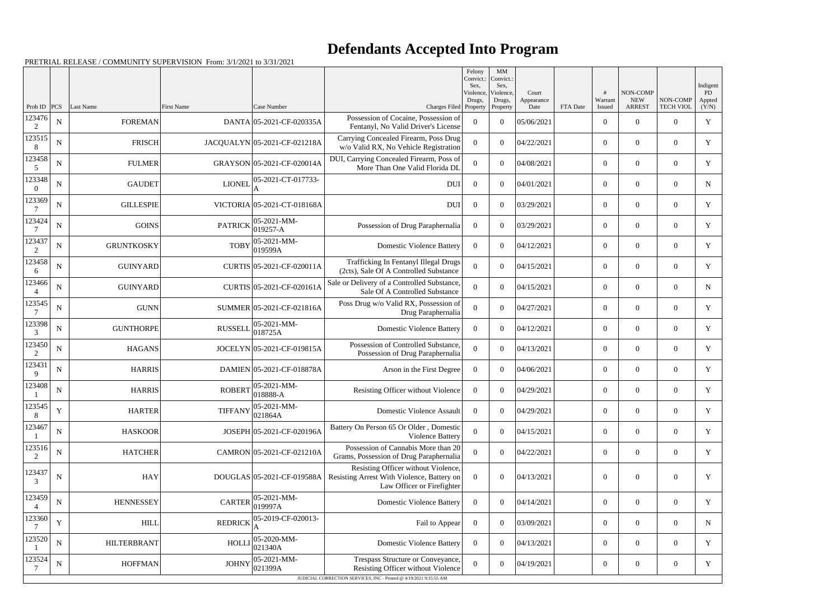|                          |             |                    |                   |                                                                         |                                                                                                                                               | Felony<br>Convict.:<br>Sex. | MM<br>Convict.:<br>Sex,         |                             |          |                        |                                         |                              | Indigent               |
|--------------------------|-------------|--------------------|-------------------|-------------------------------------------------------------------------|-----------------------------------------------------------------------------------------------------------------------------------------------|-----------------------------|---------------------------------|-----------------------------|----------|------------------------|-----------------------------------------|------------------------------|------------------------|
| Prob ID $ PCS $          |             | Last Name          | <b>First Name</b> | Case Number                                                             | Charges Filed Property                                                                                                                        | Violence,<br>Drugs,         | Violence,<br>Drugs,<br>Property | Court<br>Appearance<br>Date | FTA Date | #<br>Warrant<br>Issued | NON-COMP<br><b>NEW</b><br><b>ARREST</b> | NON-COMP<br><b>TECH VIOL</b> | PD.<br>Appted<br>(Y/N) |
| 123476<br>2              | $\mathbf N$ | <b>FOREMAN</b>     |                   | DANTA 05-2021-CF-020335A                                                | Possession of Cocaine, Possession of<br>Fentanyl, No Valid Driver's License                                                                   | $\Omega$                    | $\Omega$                        | 05/06/2021                  |          | $\overline{0}$         | $\theta$                                | $\Omega$                     | Y                      |
| 123515<br>8              | ${\bf N}$   | <b>FRISCH</b>      |                   | JACQUALYN 05-2021-CF-021218A                                            | Carrying Concealed Firearm, Poss Drug<br>w/o Valid RX, No Vehicle Registration                                                                | $\Omega$                    | $\Omega$                        | 04/22/2021                  |          | $\overline{0}$         | $\overline{0}$                          | $\Omega$                     | Y                      |
| 123458<br>5              | $\mathbf N$ | <b>FULMER</b>      |                   | GRAYSON 05-2021-CF-020014A                                              | DUI, Carrying Concealed Firearm, Poss of<br>More Than One Valid Florida DL                                                                    | $\Omega$                    | $\Omega$                        | 04/08/2021                  |          | $\theta$               | $\Omega$                                | $\Omega$                     | Y                      |
| 123348<br>$\Omega$       | ${\bf N}$   | <b>GAUDET</b>      | <b>LIONEL</b>     | 05-2021-CT-017733-                                                      | <b>DUI</b>                                                                                                                                    | $\Omega$                    | $\Omega$                        | 04/01/2021                  |          | $\overline{0}$         | $\overline{0}$                          | $\Omega$                     | N                      |
| 123369<br>7              | $\mathbf N$ | <b>GILLESPIE</b>   |                   | VICTORIA 05-2021-CT-018168A                                             | <b>DUI</b>                                                                                                                                    | $\Omega$                    | $\theta$                        | 03/29/2021                  |          | $\overline{0}$         | $\theta$                                | $\Omega$                     | Y                      |
| 123424                   | ${\bf N}$   | <b>GOINS</b>       | <b>PATRICK</b>    | 05-2021-MM-<br>019257-A                                                 | Possession of Drug Paraphernalia                                                                                                              | $\Omega$                    | $\Omega$                        | 03/29/2021                  |          | $\overline{0}$         | $\overline{0}$                          | $\Omega$                     | Y                      |
| 123437<br>2              | $\mathbf N$ | <b>GRUNTKOSKY</b>  | <b>TOBY</b>       | 05-2021-MM-<br>019599A                                                  | <b>Domestic Violence Battery</b>                                                                                                              | $\Omega$                    | $\Omega$                        | 04/12/2021                  |          | $\theta$               | $\theta$                                | $\Omega$                     | Y                      |
| 123458<br>-6             | $\mathbf N$ | <b>GUINYARD</b>    |                   | CURTIS 05-2021-CF-020011A                                               | Trafficking In Fentanyl Illegal Drugs<br>(2cts), Sale Of A Controlled Substance                                                               | $\Omega$                    | $\Omega$                        | 04/15/2021                  |          | $\overline{0}$         | $\overline{0}$                          | $\Omega$                     | Y                      |
| 123466<br>$\overline{4}$ | $\mathbf N$ | <b>GUINYARD</b>    |                   | CURTIS 05-2021-CF-020161A                                               | Sale or Delivery of a Controlled Substance,<br>Sale Of A Controlled Substance                                                                 | $\Omega$                    | $\Omega$                        | 04/15/2021                  |          | $\overline{0}$         | $\Omega$                                | $\Omega$                     | N                      |
| 123545                   | ${\bf N}$   | <b>GUNN</b>        |                   | SUMMER 05-2021-CF-021816A                                               | Poss Drug w/o Valid RX, Possession of<br>Drug Paraphernalia                                                                                   | $\Omega$                    | $\Omega$                        | 04/27/2021                  |          | $\overline{0}$         | $\overline{0}$                          | $\Omega$                     | Y                      |
| 123398<br>3              | $\mathbf N$ | <b>GUNTHORPE</b>   | <b>RUSSELL</b>    | 05-2021-MM-<br>018725A                                                  | <b>Domestic Violence Battery</b>                                                                                                              | $\Omega$                    | $\Omega$                        | 04/12/2021                  |          | $\overline{0}$         | $\theta$                                | $\Omega$                     | Y                      |
| 123450<br>2              | ${\bf N}$   | <b>HAGANS</b>      |                   | JOCELYN 05-2021-CF-019815A                                              | Possession of Controlled Substance,<br>Possession of Drug Paraphernalia                                                                       | $\Omega$                    | $\Omega$                        | 04/13/2021                  |          | $\overline{0}$         | $\overline{0}$                          | $\Omega$                     | Y                      |
| 123431<br>9              | ${\bf N}$   | <b>HARRIS</b>      |                   | DAMIEN 05-2021-CF-018878A                                               | Arson in the First Degree                                                                                                                     | $\Omega$                    | $\Omega$                        | 04/06/2021                  |          | $\overline{0}$         | $\Omega$                                | $\Omega$                     | Y                      |
| 123408                   | $\mathbf N$ | <b>HARRIS</b>      | <b>ROBERT</b>     | 05-2021-MM-<br>018888-A                                                 | Resisting Officer without Violence                                                                                                            | $\Omega$                    | $\Omega$                        | 04/29/2021                  |          | $\overline{0}$         | $\overline{0}$                          | $\Omega$                     | Y                      |
| 123545<br>$8\,$          | Y           | <b>HARTER</b>      |                   | TIFFANY $\left \frac{05\text{-}2021\text{-}MM}{0210}\right $<br>021864A | <b>Domestic Violence Assault</b>                                                                                                              | $\overline{0}$              | $\boldsymbol{0}$                | 04/29/2021                  |          | $\boldsymbol{0}$       | $\overline{0}$                          | $\overline{0}$               | $\mathbf Y$            |
| 123467                   | ${\bf N}$   | <b>HASKOOR</b>     |                   | JOSEPH 05-2021-CF-020196A                                               | Battery On Person 65 Or Older, Domestic<br>Violence Battery                                                                                   | $\overline{0}$              | $\boldsymbol{0}$                | 04/15/2021                  |          | $\boldsymbol{0}$       | $\boldsymbol{0}$                        | $\overline{0}$               | Y                      |
| 123516<br>2              | ${\bf N}$   | <b>HATCHER</b>     |                   | CAMRON 05-2021-CF-021210A                                               | Possession of Cannabis More than 20<br>Grams, Possession of Drug Paraphernalia                                                                | $\overline{0}$              | $\overline{0}$                  | 04/22/2021                  |          | $\boldsymbol{0}$       | $\boldsymbol{0}$                        | $\overline{0}$               | Y                      |
| 123437<br>3              | ${\bf N}$   | <b>HAY</b>         |                   | DOUGLAS 05-2021-CF-019588A                                              | Resisting Officer without Violence,<br>Resisting Arrest With Violence, Battery on<br>Law Officer or Firefighter                               | $\overline{0}$              | $\overline{0}$                  | 04/13/2021                  |          | $\mathbf{0}$           | $\mathbf{0}$                            | $\overline{0}$               | Y                      |
| 123459<br>$\overline{4}$ | ${\bf N}$   | <b>HENNESSEY</b>   | <b>CARTER</b>     | 05-2021-MM-<br>019997A                                                  | <b>Domestic Violence Battery</b>                                                                                                              | $\overline{0}$              | $\boldsymbol{0}$                | 04/14/2021                  |          | $\boldsymbol{0}$       | $\overline{0}$                          | $\overline{0}$               | Y                      |
| 123360                   | $\mathbf Y$ | <b>HILL</b>        | <b>REDRICK</b>    | 05-2019-CF-020013-                                                      | Fail to Appear                                                                                                                                | $\overline{0}$              | $\boldsymbol{0}$                | 03/09/2021                  |          | $\boldsymbol{0}$       | $\mathbf{0}$                            | $\overline{0}$               | $\mathbf N$            |
| 123520                   | ${\bf N}$   | <b>HILTERBRANT</b> | HOLLI             | 05-2020-MM-<br>021340A                                                  | <b>Domestic Violence Battery</b>                                                                                                              | $\overline{0}$              | $\overline{0}$                  | 04/13/2021                  |          | $\boldsymbol{0}$       | $\boldsymbol{0}$                        | $\overline{0}$               | Y                      |
| 123524                   | ${\bf N}$   | <b>HOFFMAN</b>     | <b>JOHNY</b>      | 05-2021-MM-<br>021399A                                                  | Trespass Structure or Conveyance,<br>Resisting Officer without Violence<br>JUDICIAL CORRECTION SERVICES, INC - Printed @ 4/19/2021 9:35:55 AM | $\Omega$                    | $\overline{0}$                  | 04/19/2021                  |          | $\boldsymbol{0}$       | $\boldsymbol{0}$                        | $\overline{0}$               | Y                      |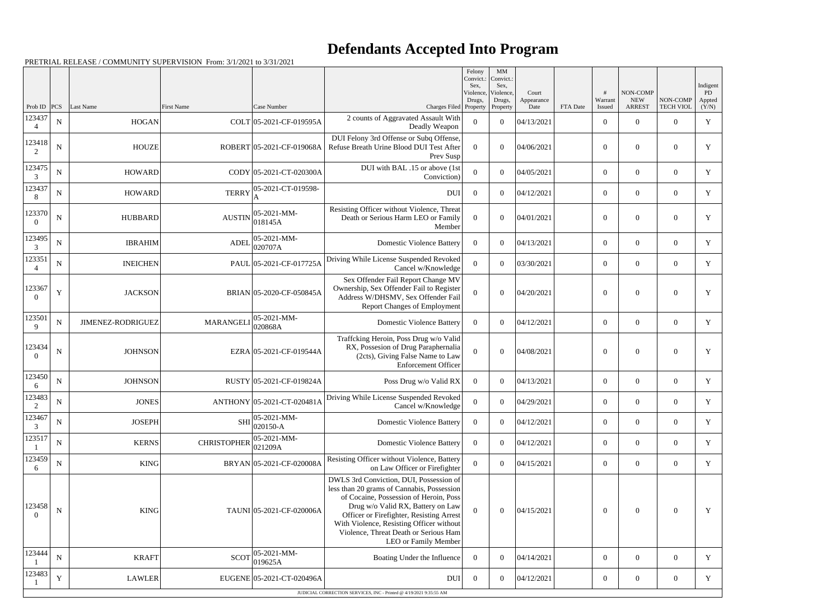|                                       |             |                   |                    |                            |                                                                                                                                                                                                                                                                                                                               | Felony<br>Convict.:<br>Sex.<br>Violence, | $\mathbf{M}\mathbf{M}$<br>Convict.<br>Sex,<br>Violence, | Court              |          |                   | NON-COMP                    |                              | Indigent<br>PD  |
|---------------------------------------|-------------|-------------------|--------------------|----------------------------|-------------------------------------------------------------------------------------------------------------------------------------------------------------------------------------------------------------------------------------------------------------------------------------------------------------------------------|------------------------------------------|---------------------------------------------------------|--------------------|----------|-------------------|-----------------------------|------------------------------|-----------------|
| Prob ID                               | <b>PCS</b>  | Last Name         | <b>First Name</b>  | Case Number                | Charges Filed Property                                                                                                                                                                                                                                                                                                        | Drugs,                                   | Drugs,<br>Property                                      | Appearance<br>Date | FTA Date | Warrant<br>Issued | <b>NEW</b><br><b>ARREST</b> | NON-COMP<br><b>TECH VIOL</b> | Appted<br>(Y/N) |
| 123437<br>$\overline{4}$              | ${\bf N}$   | <b>HOGAN</b>      |                    | COLT 05-2021-CF-019595A    | 2 counts of Aggravated Assault With<br>Deadly Weapon                                                                                                                                                                                                                                                                          | $\Omega$                                 | $\theta$                                                | 04/13/2021         |          | $\boldsymbol{0}$  | $\overline{0}$              | $\overline{0}$               | $\mathbf Y$     |
| 123418<br>2                           | $\mathbf N$ | <b>HOUZE</b>      |                    | ROBERT 05-2021-CF-019068A  | DUI Felony 3rd Offense or Subq Offense,<br>Refuse Breath Urine Blood DUI Test After<br>Prev Susp                                                                                                                                                                                                                              | $\Omega$                                 | $\theta$                                                | 04/06/2021         |          | $\overline{0}$    | $\overline{0}$              | $\theta$                     | Y               |
| 123475<br>3                           | $\mathbf N$ | <b>HOWARD</b>     |                    | CODY 05-2021-CT-020300A    | DUI with BAL .15 or above (1st<br>Conviction)                                                                                                                                                                                                                                                                                 | $\Omega$                                 | $\theta$                                                | 04/05/2021         |          | $\overline{0}$    | $\overline{0}$              | $\overline{0}$               | Y               |
| 123437<br>8                           | $\mathbf N$ | <b>HOWARD</b>     | <b>TERRY</b>       | 05-2021-CT-019598-         | <b>DUI</b>                                                                                                                                                                                                                                                                                                                    | $\overline{0}$                           | $\theta$                                                | 04/12/2021         |          | $\boldsymbol{0}$  | $\overline{0}$              | $\mathbf{0}$                 | Y               |
| 123370<br>$\Omega$                    | $\mathbf N$ | <b>HUBBARD</b>    | <b>AUSTIN</b>      | 05-2021-MM-<br>018145A     | Resisting Officer without Violence, Threat<br>Death or Serious Harm LEO or Family<br>Member                                                                                                                                                                                                                                   | $\theta$                                 | $\theta$                                                | 04/01/2021         |          | $\overline{0}$    | $\overline{0}$              | $\overline{0}$               | Y               |
| 123495<br>3                           | $\mathbf N$ | <b>IBRAHIM</b>    | <b>ADEI</b>        | 05-2021-MM-<br>020707A     | <b>Domestic Violence Battery</b>                                                                                                                                                                                                                                                                                              | $\theta$                                 | $\theta$                                                | 04/13/2021         |          | $\overline{0}$    | $\overline{0}$              | $\overline{0}$               | Y               |
| 123351                                | $\mathbf N$ | <b>INEICHEN</b>   |                    | PAUL 05-2021-CF-017725A    | Driving While License Suspended Revoked<br>Cancel w/Knowledge                                                                                                                                                                                                                                                                 | $\overline{0}$                           | $\theta$                                                | 03/30/2021         |          | $\boldsymbol{0}$  | $\overline{0}$              | $\overline{0}$               | Y               |
| 123367<br>$\Omega$                    | Y           | <b>JACKSON</b>    |                    | BRIAN 05-2020-CF-050845A   | Sex Offender Fail Report Change MV<br>Ownership, Sex Offender Fail to Register<br>Address W/DHSMV, Sex Offender Fail<br><b>Report Changes of Employment</b>                                                                                                                                                                   | $\Omega$                                 | $\theta$                                                | 04/20/2021         |          | $\overline{0}$    | $\overline{0}$              | $\theta$                     | Y               |
| 123501<br>9                           | $\mathbf N$ | JIMENEZ-RODRIGUEZ | <b>MARANGEL</b>    | 05-2021-MM-<br>020868A     | <b>Domestic Violence Battery</b>                                                                                                                                                                                                                                                                                              | $\overline{0}$                           | $\theta$                                                | 04/12/2021         |          | $\overline{0}$    | $\overline{0}$              | $\overline{0}$               | Y               |
| 123434<br>$\Omega$                    | N           | <b>JOHNSON</b>    |                    | EZRA 05-2021-CF-019544A    | Traffcking Heroin, Poss Drug w/o Valid<br>RX, Possesion of Drug Paraphernalia<br>(2cts), Giving False Name to Law<br><b>Enforcement Officer</b>                                                                                                                                                                               | $\theta$                                 | $\theta$                                                | 04/08/2021         |          | $\overline{0}$    | $\Omega$                    | $\Omega$                     | Y               |
| 123450<br>6                           | $\mathbf N$ | <b>JOHNSON</b>    |                    | RUSTY 05-2021-CF-019824A   | Poss Drug w/o Valid RX                                                                                                                                                                                                                                                                                                        | $\overline{0}$                           | $\theta$                                                | 04/13/2021         |          | $\boldsymbol{0}$  | $\overline{0}$              | $\overline{0}$               | Y               |
| 123483<br>$\mathcal{D}_{\mathcal{L}}$ | ${\bf N}$   | <b>JONES</b>      |                    | ANTHONY 05-2021-CT-020481A | Driving While License Suspended Revoked<br>Cancel w/Knowledge                                                                                                                                                                                                                                                                 | $\overline{0}$                           | $\overline{0}$                                          | 04/29/2021         |          | $\boldsymbol{0}$  | $\boldsymbol{0}$            | $\overline{0}$               | Y               |
| 123467<br>3                           | $\mathbf N$ | <b>JOSEPH</b>     | <b>SHI</b>         | 05-2021-MM-<br>020150-A    | <b>Domestic Violence Battery</b>                                                                                                                                                                                                                                                                                              | $\theta$                                 | $\overline{0}$                                          | 04/12/2021         |          | $\boldsymbol{0}$  | $\boldsymbol{0}$            | $\overline{0}$               | Y               |
| 123517                                | ${\bf N}$   | <b>KERNS</b>      | <b>CHRISTOPHER</b> | 05-2021-MM-<br>021209A     | <b>Domestic Violence Battery</b>                                                                                                                                                                                                                                                                                              | $\overline{0}$                           | $\theta$                                                | 04/12/2021         |          | $\boldsymbol{0}$  | $\overline{0}$              | $\overline{0}$               | Y               |
| 123459<br>-6                          | ${\bf N}$   | KING              |                    | BRYAN 05-2021-CF-020008A   | Resisting Officer without Violence, Battery<br>on Law Officer or Firefighter                                                                                                                                                                                                                                                  | $\Omega$                                 | $\overline{0}$                                          | 04/15/2021         |          | $\overline{0}$    | $\overline{0}$              | $\overline{0}$               | Y               |
| 123458<br>$\Omega$                    | $\mathbf N$ | KING              |                    | TAUNI 05-2021-CF-020006A   | DWLS 3rd Conviction, DUI, Possession of<br>less than 20 grams of Cannabis, Possession<br>of Cocaine, Possession of Heroin, Poss<br>Drug w/o Valid RX, Battery on Law<br>Officer or Firefighter, Resisting Arrest<br>With Violence, Resisting Officer without<br>Violence, Threat Death or Serious Ham<br>LEO or Family Member | $\Omega$                                 | $\overline{0}$                                          | 04/15/2021         |          | $\boldsymbol{0}$  | $\boldsymbol{0}$            | $\overline{0}$               | Y               |
| 123444                                | ${\bf N}$   | <b>KRAFT</b>      | <b>SCOT</b>        | 05-2021-MM-<br>019625A     | Boating Under the Influence                                                                                                                                                                                                                                                                                                   | $\overline{0}$                           | $\theta$                                                | 04/14/2021         |          | $\boldsymbol{0}$  | $\overline{0}$              | $\theta$                     | Y               |
| 123483                                | Y           | <b>LAWLER</b>     |                    | EUGENE 05-2021-CT-020496A  | DUI                                                                                                                                                                                                                                                                                                                           | $\overline{0}$                           | $\overline{0}$                                          | 04/12/2021         |          | $\overline{0}$    | $\boldsymbol{0}$            | $\boldsymbol{0}$             | Y               |
|                                       |             |                   |                    |                            | JUDICIAL CORRECTION SERVICES, INC - Printed @ 4/19/2021 9:35:55 AM                                                                                                                                                                                                                                                            |                                          |                                                         |                    |          |                   |                             |                              |                 |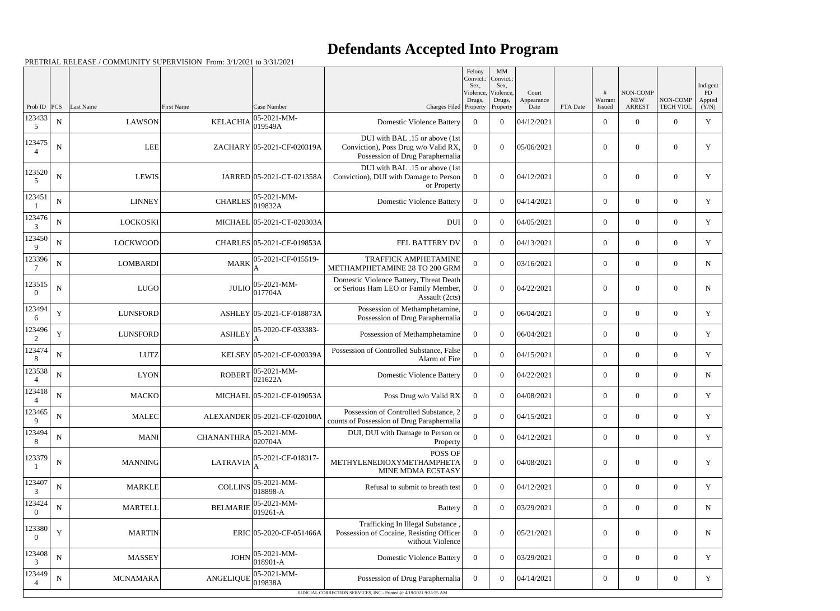|                          |             |                 |                   |                               |                                                                                                            | Felony<br>Convict.:<br>Sex.<br>Violence, | MM<br>Convict.:<br>Sex.<br>Violence, | Court              |          | #                 | NON-COMP                    |                              | Indigent<br>PD. |
|--------------------------|-------------|-----------------|-------------------|-------------------------------|------------------------------------------------------------------------------------------------------------|------------------------------------------|--------------------------------------|--------------------|----------|-------------------|-----------------------------|------------------------------|-----------------|
| Prob ID                  | PCS         | Last Name       | <b>First Name</b> | Case Number                   | Charges Filed Property                                                                                     | Drugs,                                   | Drugs,<br>Property                   | Appearance<br>Date | FTA Date | Warrant<br>Issued | <b>NEW</b><br><b>ARREST</b> | NON-COMP<br><b>TECH VIOL</b> | Appted<br>(Y/N) |
| 123433<br>5              | ${\bf N}$   | <b>LAWSON</b>   | <b>KELACHIA</b>   | 05-2021-MM-<br>019549A        | <b>Domestic Violence Battery</b>                                                                           | $\overline{0}$                           | $\Omega$                             | 04/12/2021         |          | $\overline{0}$    | $\theta$                    | $\overline{0}$               | Y               |
| 123475                   | $\mathbf N$ | <b>LEE</b>      |                   | ZACHARY 05-2021-CF-020319A    | DUI with BAL .15 or above (1st<br>Conviction), Poss Drug w/o Valid RX,<br>Possession of Drug Paraphernalia | $\overline{0}$                           | $\theta$                             | 05/06/2021         |          | $\overline{0}$    | $\theta$                    | $\overline{0}$               | Y               |
| 123520<br>5              | $\mathbf N$ | <b>LEWIS</b>    |                   | JARRED 05-2021-CT-021358A     | DUI with BAL .15 or above (1st<br>Conviction), DUI with Damage to Person<br>or Property                    | $\overline{0}$                           | $\Omega$                             | 04/12/2021         |          | $\overline{0}$    | $\overline{0}$              | $\overline{0}$               | Y               |
| 123451                   | ${\bf N}$   | <b>LINNEY</b>   | <b>CHARLES</b>    | $05 - 2021 - MM -$<br>019832A | <b>Domestic Violence Battery</b>                                                                           | $\overline{0}$                           | $\overline{0}$                       | 04/14/2021         |          | $\overline{0}$    | $\overline{0}$              | $\overline{0}$               | Y               |
| 123476<br>3              | $\mathbf N$ | <b>LOCKOSKI</b> |                   | MICHAEL 05-2021-CT-020303A    | <b>DUI</b>                                                                                                 | $\overline{0}$                           | $\theta$                             | 04/05/2021         |          | $\overline{0}$    | $\overline{0}$              | $\overline{0}$               | Y               |
| 123450<br>9              | $\mathbf N$ | <b>LOCKWOOD</b> |                   | CHARLES 05-2021-CF-019853A    | FEL BATTERY DV                                                                                             | $\Omega$                                 | $\theta$                             | 04/13/2021         |          | $\overline{0}$    | $\overline{0}$              | $\overline{0}$               | Y               |
| 123396                   | $\mathbf N$ | <b>LOMBARDI</b> | <b>MARK</b>       | 05-2021-CF-015519-            | <b>TRAFFICK AMPHETAMINE</b><br>METHAMPHETAMINE 28 TO 200 GRM                                               | $\theta$                                 | $\theta$                             | 03/16/2021         |          | $\overline{0}$    | $\overline{0}$              | $\overline{0}$               | $\mathbf N$     |
| 123515<br>$\Omega$       | $\mathbf N$ | <b>LUGO</b>     | <b>JULIO</b>      | $05 - 2021 - MM -$<br>017704A | Domestic Violence Battery, Threat Death<br>or Serious Ham LEO or Family Member,<br>Assault (2cts)          | $\overline{0}$                           | $\Omega$                             | 04/22/2021         |          | $\theta$          | $\Omega$                    | $\overline{0}$               | $\mathbf N$     |
| 123494<br>6              | $\mathbf Y$ | <b>LUNSFORD</b> |                   | ASHLEY 05-2021-CF-018873A     | Possession of Methamphetamine,<br>Possession of Drug Paraphernalia                                         | $\boldsymbol{0}$                         | $\theta$                             | 06/04/2021         |          | $\overline{0}$    | $\overline{0}$              | $\overline{0}$               | $\mathbf Y$     |
| 123496<br>2              | Y           | <b>LUNSFORD</b> | <b>ASHLEY</b>     | 05-2020-CF-033383-            | Possession of Methamphetamine                                                                              | $\overline{0}$                           | $\theta$                             | 06/04/2021         |          | $\overline{0}$    | $\overline{0}$              | $\overline{0}$               | Y               |
| 123474<br>8              | ${\bf N}$   | <b>LUTZ</b>     |                   | KELSEY 05-2021-CF-020339A     | Possession of Controlled Substance, False<br>Alarm of Fire                                                 | $\overline{0}$                           | $\theta$                             | 04/15/2021         |          | $\overline{0}$    | $\overline{0}$              | $\overline{0}$               | Y               |
| 123538                   | ${\bf N}$   | <b>LYON</b>     | <b>ROBERT</b>     | 05-2021-MM-<br>021622A        | <b>Domestic Violence Battery</b>                                                                           | $\overline{0}$                           | $\theta$                             | 04/22/2021         |          | $\overline{0}$    | $\overline{0}$              | $\overline{0}$               | N               |
| 123418                   | ${\bf N}$   | <b>MACKO</b>    |                   | MICHAEL 05-2021-CF-019053A    | Poss Drug w/o Valid RX                                                                                     | $\boldsymbol{0}$                         | $\theta$                             | 04/08/2021         |          | $\overline{0}$    | $\overline{0}$              | $\overline{0}$               | Y               |
| 123465<br>9              | ${\bf N}$   | <b>MALEC</b>    |                   | ALEXANDER 05-2021-CF-020100A  | Possession of Controlled Substance, 2<br>counts of Possession of Drug Paraphernalia                        | $\boldsymbol{0}$                         | $\boldsymbol{0}$                     | 04/15/2021         |          | $\overline{0}$    | $\boldsymbol{0}$            | $\boldsymbol{0}$             | Y               |
| 123494<br>8              | ${\bf N}$   | <b>MANI</b>     | <b>CHANANTHRA</b> | 05-2021-MM-<br>020704A        | DUI, DUI with Damage to Person or<br>Property                                                              | $\mathbf{0}$                             | $\overline{0}$                       | 04/12/2021         |          | $\overline{0}$    | $\overline{0}$              | $\overline{0}$               | Y               |
| 123379                   | ${\bf N}$   | <b>MANNING</b>  | <b>LATRAVIA</b>   | 05-2021-CF-018317-            | POSS OF<br>METHYLENEDIOXYMETHAMPHETA<br>MINE MDMA ECSTASY                                                  | $\overline{0}$                           | $\theta$                             | 04/08/2021         |          | $\mathbf{0}$      | $\boldsymbol{0}$            | $\overline{0}$               | Y               |
| 123407<br>3              | ${\bf N}$   | <b>MARKLE</b>   | <b>COLLINS</b>    | 05-2021-MM-<br>018898-A       | Refusal to submit to breath test                                                                           | $\overline{0}$                           | $\overline{0}$                       | 04/12/2021         |          | $\overline{0}$    | $\overline{0}$              | $\overline{0}$               | Y               |
| 123424<br>$\overline{0}$ | ${\bf N}$   | <b>MARTELL</b>  | <b>BELMARIE</b>   | 05-2021-MM-<br>019261-A       | <b>Battery</b>                                                                                             | $\overline{0}$                           | $\overline{0}$                       | 03/29/2021         |          | $\boldsymbol{0}$  | $\overline{0}$              | $\overline{0}$               | N               |
| 123380<br>$\overline{0}$ | Y           | <b>MARTIN</b>   |                   | ERIC 05-2020-CF-051466A       | Trafficking In Illegal Substance<br>Possession of Cocaine, Resisting Officer<br>without Violence           | $\Omega$                                 | $\overline{0}$                       | 05/21/2021         |          | $\boldsymbol{0}$  | $\boldsymbol{0}$            | $\boldsymbol{0}$             | $\mathbf N$     |
| 123408<br>3              | ${\bf N}$   | <b>MASSEY</b>   | <b>JOHN</b>       | 05-2021-MM-<br>018901-A       | <b>Domestic Violence Battery</b>                                                                           | $\overline{0}$                           | $\overline{0}$                       | 03/29/2021         |          | $\overline{0}$    | $\overline{0}$              | $\overline{0}$               | Y               |
| 123449                   | ${\bf N}$   | <b>MCNAMARA</b> | ANGELIQUE         | 05-2021-MM-<br>019838A        | Possession of Drug Paraphernalia                                                                           | $\overline{0}$                           | $\overline{0}$                       | 04/14/2021         |          | $\boldsymbol{0}$  | $\overline{0}$              | $\overline{0}$               | Y               |
|                          |             |                 |                   |                               | JUDICIAL CORRECTION SERVICES, INC - Printed @ 4/19/2021 9:35:55 AM                                         |                                          |                                      |                    |          |                   |                             |                              |                 |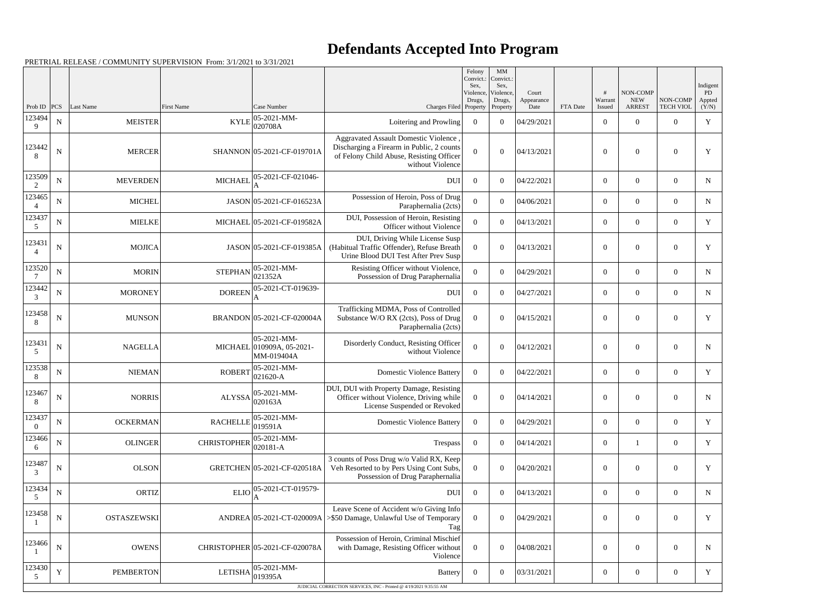|                          |             |                    |                    |                                                        |                                                                                                                                                   | Felony<br>Convict.:<br>Sex,<br>Violence, | $\mathbf{M}\mathbf{M}$<br>Convict.:<br>Sex,<br>Violence, | Court              |          |                   | NON-COMP                    |                              | Indigent<br>PD  |
|--------------------------|-------------|--------------------|--------------------|--------------------------------------------------------|---------------------------------------------------------------------------------------------------------------------------------------------------|------------------------------------------|----------------------------------------------------------|--------------------|----------|-------------------|-----------------------------|------------------------------|-----------------|
| Prob ID $ PCS $          |             | Last Name          | First Name         | Case Number                                            | Charges Filed Property                                                                                                                            | Drugs,                                   | Drugs,<br>Property                                       | Appearance<br>Date | FTA Date | Warrant<br>Issued | <b>NEW</b><br><b>ARREST</b> | NON-COMP<br><b>TECH VIOL</b> | Appted<br>(Y/N) |
| 123494<br>9              | ${\bf N}$   | <b>MEISTER</b>     | <b>KYLE</b>        | 05-2021-MM-<br>020708A                                 | Loitering and Prowling                                                                                                                            | $\overline{0}$                           | $\overline{0}$                                           | 04/29/2021         |          | $\overline{0}$    | $\overline{0}$              | $\Omega$                     | $\mathbf Y$     |
| 123442<br>8              | ${\bf N}$   | <b>MERCER</b>      |                    | SHANNON 05-2021-CF-019701A                             | Aggravated Assault Domestic Violence<br>Discharging a Firearm in Public, 2 counts<br>of Felony Child Abuse, Resisting Officer<br>without Violence | $\Omega$                                 | $\theta$                                                 | 04/13/2021         |          | $\overline{0}$    | $\overline{0}$              | $\theta$                     | Y               |
| 123509<br>2              | ${\bf N}$   | <b>MEVERDEN</b>    | <b>MICHAEL</b>     | 05-2021-CF-021046-                                     | <b>DUI</b>                                                                                                                                        | $\overline{0}$                           | $\theta$                                                 | 04/22/2021         |          | $\overline{0}$    | $\overline{0}$              | $\overline{0}$               | $\mathbf N$     |
| 123465<br>$\overline{4}$ | ${\bf N}$   | <b>MICHEL</b>      |                    | JASON 05-2021-CF-016523A                               | Possession of Heroin, Poss of Drug<br>Paraphernalia (2cts)                                                                                        | $\Omega$                                 | $\theta$                                                 | 04/06/2021         |          | $\boldsymbol{0}$  | $\mathbf{0}$                | $\overline{0}$               | N               |
| 123437<br>5              | ${\bf N}$   | <b>MIELKE</b>      |                    | MICHAEL 05-2021-CF-019582A                             | DUI, Possession of Heroin, Resisting<br>Officer without Violence                                                                                  | $\Omega$                                 | $\theta$                                                 | 04/13/2021         |          | $\boldsymbol{0}$  | $\overline{0}$              | $\overline{0}$               | $\mathbf Y$     |
| 123431<br>$\overline{4}$ | ${\bf N}$   | <b>MOJICA</b>      |                    | JASON 05-2021-CF-019385A                               | DUI, Driving While License Susp<br>(Habitual Traffic Offender), Refuse Breath<br>Urine Blood DUI Test After Prev Susp                             | $\Omega$                                 | $\boldsymbol{0}$                                         | 04/13/2021         |          | $\overline{0}$    | $\overline{0}$              | $\boldsymbol{0}$             | Y               |
| 123520                   | ${\bf N}$   | <b>MORIN</b>       | <b>STEPHAN</b>     | 05-2021-MM-<br>021352A                                 | Resisting Officer without Violence,<br>Possession of Drug Paraphernalia                                                                           | $\theta$                                 | $\theta$                                                 | 04/29/2021         |          | $\boldsymbol{0}$  | $\overline{0}$              | $\overline{0}$               | $\mathbf N$     |
| 123442<br>3              | ${\bf N}$   | <b>MORONEY</b>     | <b>DOREEN</b>      | 05-2021-CT-019639-                                     | <b>DUI</b>                                                                                                                                        | $\overline{0}$                           | $\overline{0}$                                           | 04/27/2021         |          | $\boldsymbol{0}$  | $\boldsymbol{0}$            | $\overline{0}$               | N               |
| 123458<br>8              | ${\bf N}$   | <b>MUNSON</b>      |                    | BRANDON 05-2021-CF-020004A                             | Trafficking MDMA, Poss of Controlled<br>Substance W/O RX (2cts), Poss of Drug<br>Paraphernalia (2cts)                                             | $\Omega$                                 | $\boldsymbol{0}$                                         | 04/15/2021         |          | $\overline{0}$    | $\overline{0}$              | $\overline{0}$               | Y               |
| 123431<br>5              | ${\bf N}$   | <b>NAGELLA</b>     |                    | 05-2021-MM-<br>MICHAEL 010909A, 05-2021-<br>MM-019404A | Disorderly Conduct, Resisting Officer<br>without Violence                                                                                         | $\theta$                                 | $\boldsymbol{0}$                                         | 04/12/2021         |          | $\overline{0}$    | $\boldsymbol{0}$            | $\overline{0}$               | $\mathbf N$     |
| 123538<br>8              | N           | <b>NIEMAN</b>      | <b>ROBERT</b>      | 05-2021-MM-<br>021620-A                                | <b>Domestic Violence Battery</b>                                                                                                                  | $\overline{0}$                           | $\theta$                                                 | 04/22/2021         |          | $\boldsymbol{0}$  | $\overline{0}$              | $\overline{0}$               | Y               |
| 123467<br>8              | ${\bf N}$   | <b>NORRIS</b>      | <b>ALYSSA</b>      | 05-2021-MM-<br>020163A                                 | DUI, DUI with Property Damage, Resisting<br>Officer without Violence, Driving while<br>License Suspended or Revoked                               | $\overline{0}$                           | $\boldsymbol{0}$                                         | 04/14/2021         |          | $\overline{0}$    | $\overline{0}$              | $\theta$                     | $\mathbf N$     |
| 123437<br>$\theta$       | ${\bf N}$   | <b>OCKERMAN</b>    | <b>RACHELLE</b>    | 05-2021-MM-<br>019591A                                 | <b>Domestic Violence Battery</b>                                                                                                                  | $\Omega$                                 | $\theta$                                                 | 04/29/2021         |          | $\boldsymbol{0}$  | $\overline{0}$              | $\overline{0}$               | Y               |
| 123466<br>6              | ${\bf N}$   | <b>OLINGER</b>     | <b>CHRISTOPHER</b> | 05-2021-MM-<br>020181-A                                | Trespass                                                                                                                                          | $\mathbf{0}$                             | $\boldsymbol{0}$                                         | 04/14/2021         |          | $\boldsymbol{0}$  |                             | $\overline{0}$               | Y               |
| 123487<br>3              | ${\bf N}$   | <b>OLSON</b>       |                    | GRETCHEN 05-2021-CF-020518A                            | 3 counts of Poss Drug w/o Valid RX, Keep<br>Veh Resorted to by Pers Using Cont Subs,<br>Possession of Drug Paraphernalia                          | $\Omega$                                 | $\boldsymbol{0}$                                         | 04/20/2021         |          | $\mathbf{0}$      | $\boldsymbol{0}$            | $\overline{0}$               | Y               |
| 123434<br>5              | ${\bf N}$   | <b>ORTIZ</b>       | <b>ELIO</b>        | 05-2021-CT-019579-                                     | <b>DUI</b>                                                                                                                                        | $\overline{0}$                           | $\boldsymbol{0}$                                         | 04/13/2021         |          | $\boldsymbol{0}$  | $\overline{0}$              | $\overline{0}$               | N               |
| 123458                   | ${\bf N}$   | <b>OSTASZEWSKI</b> |                    | ANDREA 05-2021-CT-020009A                              | Leave Scene of Accident w/o Giving Info<br>>\$50 Damage, Unlawful Use of Temporary<br>Tag                                                         | $\Omega$                                 | $\boldsymbol{0}$                                         | 04/29/2021         |          | $\mathbf{0}$      | $\boldsymbol{0}$            | $\overline{0}$               | Y               |
| 123466                   | $\mathbf N$ | <b>OWENS</b>       |                    | CHRISTOPHER 05-2021-CF-020078A                         | Possession of Heroin, Criminal Mischief<br>with Damage, Resisting Officer without<br>Violence                                                     | $\theta$                                 | $\boldsymbol{0}$                                         | 04/08/2021         |          | $\mathbf{0}$      | $\boldsymbol{0}$            | $\overline{0}$               | N               |
| 123430<br>5              | $\mathbf Y$ | <b>PEMBERTON</b>   | <b>LETISHA</b>     | 05-2021-MM-<br>019395A                                 | <b>Battery</b>                                                                                                                                    | $\overline{0}$                           | $\boldsymbol{0}$                                         | 03/31/2021         |          | $\boldsymbol{0}$  | $\boldsymbol{0}$            | $\overline{0}$               | Y               |
|                          |             |                    |                    |                                                        | JUDICIAL CORRECTION SERVICES, INC - Printed @ 4/19/2021 9:35:55 AM                                                                                |                                          |                                                          |                    |          |                   |                             |                              |                 |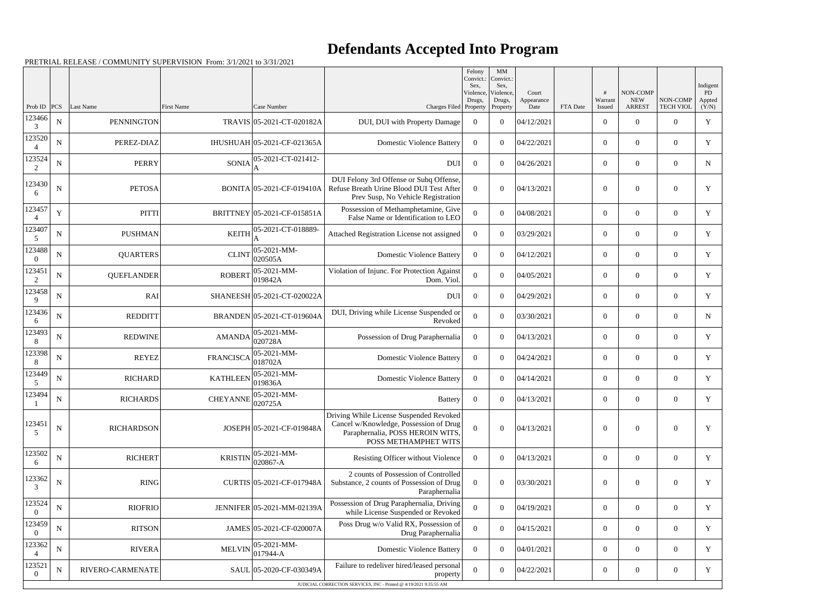|                    |             |                   |                   |                             |                                                                                                                                               | Felony<br>Convict.:<br>Sex. | MM<br>Convict.:<br>Sex,         |                             |          |                        |                                         |                              | Indigent              |
|--------------------|-------------|-------------------|-------------------|-----------------------------|-----------------------------------------------------------------------------------------------------------------------------------------------|-----------------------------|---------------------------------|-----------------------------|----------|------------------------|-----------------------------------------|------------------------------|-----------------------|
| Prob ID            | PCS         | Last Name         | <b>First Name</b> | Case Number                 | Charges Filed Property                                                                                                                        | Violence,<br>Drugs,         | Violence.<br>Drugs,<br>Property | Court<br>Appearance<br>Date | FTA Date | #<br>Warrant<br>Issued | NON-COMP<br><b>NEW</b><br><b>ARREST</b> | NON-COMP<br><b>TECH VIOL</b> | PD<br>Appted<br>(Y/N) |
| 123466<br>3        | N           | <b>PENNINGTON</b> |                   | TRAVIS 05-2021-CT-020182A   | DUI, DUI with Property Damage                                                                                                                 | $\overline{0}$              | $\theta$                        | 04/12/2021                  |          | $\mathbf{0}$           | $\Omega$                                | $\Omega$                     | $\mathbf Y$           |
| 123520             | $\mathbf N$ | PEREZ-DIAZ        |                   | IHUSHUAH 05-2021-CF-021365A | <b>Domestic Violence Battery</b>                                                                                                              | $\Omega$                    | $\theta$                        | 04/22/2021                  |          | $\overline{0}$         | $\overline{0}$                          | $\overline{0}$               | Y                     |
| 123524<br>2        | $\mathbf N$ | <b>PERRY</b>      | <b>SONIA</b>      | 05-2021-CT-021412-          | <b>DUI</b>                                                                                                                                    | $\overline{0}$              | $\theta$                        | 04/26/2021                  |          | $\mathbf{0}$           | $\Omega$                                | $\overline{0}$               | N                     |
| 123430<br>6        | N           | <b>PETOSA</b>     |                   | BONITA 05-2021-CF-019410A   | DUI Felony 3rd Offense or Subq Offense,<br>Refuse Breath Urine Blood DUI Test After<br>Prev Susp, No Vehicle Registration                     | $\Omega$                    | $\theta$                        | 04/13/2021                  |          | $\boldsymbol{0}$       | $\overline{0}$                          | $\overline{0}$               | Y                     |
| 123457<br>4        | $\mathbf Y$ | <b>PITTI</b>      |                   | BRITTNEY 05-2021-CF-015851A | Possession of Methamphetamine, Give<br>False Name or Identification to LEO                                                                    | $\Omega$                    | $\theta$                        | 04/08/2021                  |          | $\mathbf{0}$           | $\overline{0}$                          | $\overline{0}$               | Y                     |
| 123407<br>5        | N           | <b>PUSHMAN</b>    | <b>KEITH</b>      | 05-2021-CT-018889-          | Attached Registration License not assigned                                                                                                    | $\Omega$                    | $\theta$                        | 03/29/2021                  |          | $\overline{0}$         | $\overline{0}$                          | $\overline{0}$               | Y                     |
| 123488<br>$\theta$ | ${\bf N}$   | <b>QUARTERS</b>   | <b>CLINT</b>      | 05-2021-MM-<br>020505A      | <b>Domestic Violence Battery</b>                                                                                                              | $\overline{0}$              | $\theta$                        | 04/12/2021                  |          | $\boldsymbol{0}$       | $\Omega$                                | $\overline{0}$               | Y                     |
| 123451             | N           | <b>QUEFLANDER</b> | <b>ROBERT</b>     | 05-2021-MM-<br>019842A      | Violation of Injunc. For Protection Against<br>Dom. Viol.                                                                                     | $\Omega$                    | $\theta$                        | 04/05/2021                  |          | $\overline{0}$         | $\overline{0}$                          | $\overline{0}$               | Y                     |
| 123458<br>9        | ${\bf N}$   | RAI               |                   | SHANEESH 05-2021-CT-020022A | <b>DUI</b>                                                                                                                                    | $\overline{0}$              | $\theta$                        | 04/29/2021                  |          | $\boldsymbol{0}$       | $\overline{0}$                          | $\overline{0}$               | Y                     |
| 123436<br>6        | N           | <b>REDDITT</b>    |                   | BRANDEN 05-2021-CT-019604A  | DUI, Driving while License Suspended or<br>Revoked                                                                                            | $\Omega$                    | $\theta$                        | 03/30/2021                  |          | $\overline{0}$         | $\overline{0}$                          | $\overline{0}$               | N                     |
| 123493<br>8        | N           | <b>REDWINE</b>    | <b>AMANDA</b>     | 05-2021-MM-<br>020728A      | Possession of Drug Paraphernalia                                                                                                              | $\overline{0}$              | $\theta$                        | 04/13/2021                  |          | $\boldsymbol{0}$       | $\overline{0}$                          | $\overline{0}$               | Y                     |
| 123398<br>8        | ${\bf N}$   | <b>REYEZ</b>      | <b>FRANCISCA</b>  | 05-2021-MM-<br>018702A      | <b>Domestic Violence Battery</b>                                                                                                              | $\Omega$                    | $\theta$                        | 04/24/2021                  |          | $\overline{0}$         | $\overline{0}$                          | $\overline{0}$               | Y                     |
| 123449<br>5        | ${\bf N}$   | <b>RICHARD</b>    | <b>KATHLEEN</b>   | 05-2021-MM-<br>019836A      | <b>Domestic Violence Battery</b>                                                                                                              | $\overline{0}$              | $\theta$                        | 04/14/2021                  |          | $\boldsymbol{0}$       | $\overline{0}$                          | $\overline{0}$               | Y                     |
| 123494             | N           | <b>RICHARDS</b>   | <b>CHEYANNE</b>   | 05-2021-MM-<br>020725A      | <b>Battery</b>                                                                                                                                | $\overline{0}$              | $\theta$                        | 04/13/2021                  |          | $\overline{0}$         | $\overline{0}$                          | $\overline{0}$               | Y                     |
| 123451<br>.5       | ${\bf N}$   | <b>RICHARDSON</b> |                   | JOSEPH 05-2021-CF-019848A   | Driving While License Suspended Revoked<br>Cancel w/Knowledge, Possession of Drug<br>Paraphernalia, POSS HEROIN WITS,<br>POSS METHAMPHET WITS | $\overline{0}$              | $\mathbf{0}$                    | 04/13/2021                  |          | $\overline{0}$         | $\boldsymbol{0}$                        | $\boldsymbol{0}$             | $\mathbf Y$           |
| 123502<br>6        | ${\bf N}$   | <b>RICHERT</b>    | <b>KRISTIN</b>    | 05-2021-MM-<br>020867-A     | Resisting Officer without Violence                                                                                                            | $\overline{0}$              | $\overline{0}$                  | 04/13/2021                  |          | $\overline{0}$         | $\overline{0}$                          | $\overline{0}$               | Y                     |
| 123362<br>3        | ${\bf N}$   | <b>RING</b>       |                   | CURTIS 05-2021-CF-017948A   | 2 counts of Possession of Controlled<br>Substance, 2 counts of Possession of Drug<br>Paraphernalia                                            | $\Omega$                    | $\overline{0}$                  | 03/30/2021                  |          | $\boldsymbol{0}$       | $\boldsymbol{0}$                        | $\boldsymbol{0}$             | Y                     |
| 123524<br>$\theta$ | ${\bf N}$   | <b>RIOFRIO</b>    |                   | JENNIFER 05-2021-MM-02139A  | Possession of Drug Paraphernalia, Driving<br>while License Suspended or Revoked                                                               | $\overline{0}$              | $\overline{0}$                  | 04/19/2021                  |          | $\overline{0}$         | $\overline{0}$                          | $\overline{0}$               | Y                     |
| 123459<br>$\theta$ | ${\bf N}$   | <b>RITSON</b>     |                   | JAMES 05-2021-CF-020007A    | Poss Drug w/o Valid RX, Possession of<br>Drug Paraphernalia                                                                                   | $\overline{0}$              | $\overline{0}$                  | 04/15/2021                  |          | $\overline{0}$         | $\overline{0}$                          | $\overline{0}$               | Y                     |
| 123362             | N           | <b>RIVERA</b>     | <b>MELVIN</b>     | 05-2021-MM-<br>017944-A     | <b>Domestic Violence Battery</b>                                                                                                              | $\overline{0}$              | $\overline{0}$                  | 04/01/2021                  |          | $\overline{0}$         | $\overline{0}$                          | $\overline{0}$               | Y                     |
| 123521<br>$\theta$ | $\mathbf N$ | RIVERO-CARMENATE  |                   | SAUL 05-2020-CF-030349A     | Failure to redeliver hired/leased personal<br>property                                                                                        | $\boldsymbol{0}$            | $\boldsymbol{0}$                | 04/22/2021                  |          | $\boldsymbol{0}$       | $\overline{0}$                          | $\overline{0}$               | Y                     |
|                    |             |                   |                   |                             | JUDICIAL CORRECTION SERVICES, INC - Printed @ 4/19/2021 9:35:55 AM                                                                            |                             |                                 |                             |          |                        |                                         |                              |                       |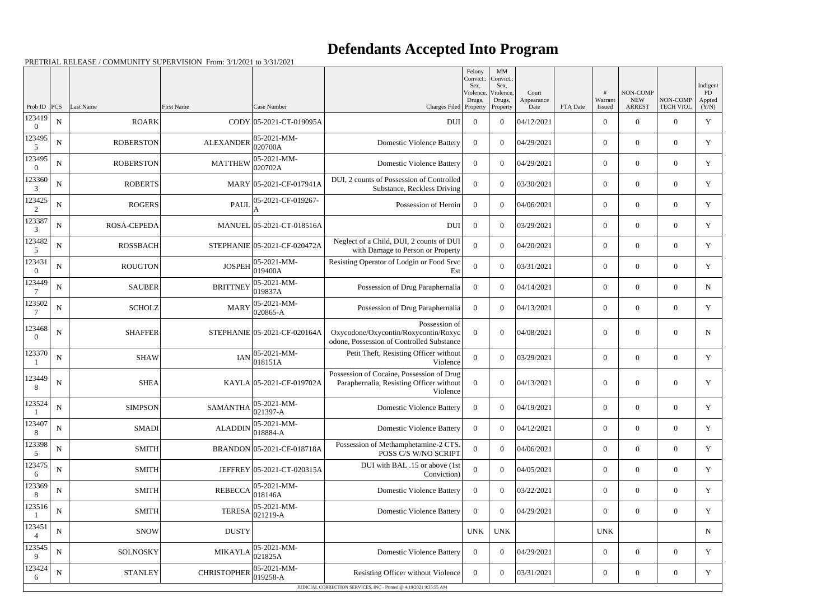|                         |                  |                           |                    |                                        |                                                                                                    | Felony<br>Convict.:<br>Sex. | MM<br>Convict.:<br>Sex,    |                     |          |                          |                                 |                              | Indigent             |
|-------------------------|------------------|---------------------------|--------------------|----------------------------------------|----------------------------------------------------------------------------------------------------|-----------------------------|----------------------------|---------------------|----------|--------------------------|---------------------------------|------------------------------|----------------------|
|                         |                  |                           |                    |                                        |                                                                                                    | Violence,<br>Drugs,         | Violence,<br>Drugs,        | Court<br>Appearance |          | Warrant                  | <b>NON-COMP</b><br><b>NEW</b>   | NON-COMP<br><b>TECH VIOL</b> | PD<br>Appted         |
| Prob ID<br>123419       | PCS<br>${\bf N}$ | Last Name<br><b>ROARK</b> | <b>First Name</b>  | Case Number<br>CODY 05-2021-CT-019095A | Charges Filed Property<br>DUI                                                                      | $\overline{0}$              | Property<br>$\overline{0}$ | Date<br>04/12/2021  | FTA Date | Issued<br>$\overline{0}$ | <b>ARREST</b><br>$\overline{0}$ | $\overline{0}$               | (Y/N)<br>$\mathbf Y$ |
| $\theta$<br>123495<br>5 | ${\bf N}$        | <b>ROBERSTON</b>          | <b>ALEXANDER</b>   | 05-2021-MM-<br>020700A                 | <b>Domestic Violence Battery</b>                                                                   | $\overline{0}$              | $\overline{0}$             | 04/29/2021          |          | $\overline{0}$           | $\overline{0}$                  | $\overline{0}$               | Y                    |
| 123495<br>$\theta$      | ${\bf N}$        | <b>ROBERSTON</b>          | <b>MATTHEW</b>     | 05-2021-MM-<br>020702A                 | <b>Domestic Violence Battery</b>                                                                   | $\overline{0}$              | $\overline{0}$             | 04/29/2021          |          | $\overline{0}$           | $\overline{0}$                  | $\overline{0}$               | Y                    |
| 123360<br>3             | ${\bf N}$        | <b>ROBERTS</b>            |                    | MARY 05-2021-CF-017941A                | DUI, 2 counts of Possession of Controlled<br>Substance, Reckless Driving                           | $\overline{0}$              | $\overline{0}$             | 03/30/2021          |          | $\overline{0}$           | $\overline{0}$                  | $\overline{0}$               | $\mathbf Y$          |
| 123425<br>2             | ${\bf N}$        | <b>ROGERS</b>             | <b>PAUL</b>        | 05-2021-CF-019267-                     | Possession of Heroin                                                                               | $\overline{0}$              | $\Omega$                   | 04/06/2021          |          | $\overline{0}$           | $\overline{0}$                  | $\overline{0}$               | $\mathbf Y$          |
| 123387<br>3             | N                | <b>ROSA-CEPEDA</b>        |                    | MANUEL 05-2021-CT-018516A              | <b>DUI</b>                                                                                         | $\overline{0}$              | $\mathbf{0}$               | 03/29/2021          |          | $\overline{0}$           | $\overline{0}$                  | $\overline{0}$               | Y                    |
| 123482<br>5             | ${\bf N}$        | <b>ROSSBACH</b>           |                    | STEPHANIE 05-2021-CF-020472A           | Neglect of a Child, DUI, 2 counts of DUI<br>with Damage to Person or Property                      | $\theta$                    | $\Omega$                   | 04/20/2021          |          | $\overline{0}$           | $\overline{0}$                  | $\overline{0}$               | Y                    |
| 123431<br>$\theta$      | ${\bf N}$        | <b>ROUGTON</b>            | <b>JOSPEH</b>      | 05-2021-MM-<br>019400A                 | Resisting Operator of Lodgin or Food Srvc<br>Est                                                   | $\overline{0}$              | $\mathbf{0}$               | 03/31/2021          |          | $\overline{0}$           | $\overline{0}$                  | $\overline{0}$               | Y                    |
| 123449                  | ${\bf N}$        | <b>SAUBER</b>             | <b>BRITTNEY</b>    | 05-2021-MM-<br>019837A                 | Possession of Drug Paraphernalia                                                                   | $\overline{0}$              | $\mathbf{0}$               | 04/14/2021          |          | $\overline{0}$           | $\overline{0}$                  | $\overline{0}$               | $\mathbf N$          |
| 123502                  | ${\bf N}$        | <b>SCHOLZ</b>             | <b>MARY</b>        | 05-2021-MM-<br>020865-A                | Possession of Drug Paraphernalia                                                                   | $\overline{0}$              | $\overline{0}$             | 04/13/2021          |          | $\overline{0}$           | $\overline{0}$                  | $\overline{0}$               | Y                    |
| 123468<br>$\theta$      | ${\bf N}$        | <b>SHAFFER</b>            |                    | STEPHANIE 05-2021-CF-020164A           | Possession of<br>Oxycodone/Oxycontin/Roxycontin/Roxyc<br>odone, Possession of Controlled Substance | $\theta$                    | $\overline{0}$             | 04/08/2021          |          | $\overline{0}$           | $\overline{0}$                  | $\overline{0}$               | $\mathbf N$          |
| 123370                  | ${\bf N}$        | <b>SHAW</b>               | <b>IAN</b>         | 05-2021-MM-<br>018151A                 | Petit Theft, Resisting Officer without<br>Violence                                                 | $\overline{0}$              | $\overline{0}$             | 03/29/2021          |          | $\overline{0}$           | $\mathbf{0}$                    | $\overline{0}$               | Y                    |
| 123449<br>8             | ${\bf N}$        | <b>SHEA</b>               |                    | KAYLA 05-2021-CF-019702A               | Possession of Cocaine, Possession of Drug<br>Paraphernalia, Resisting Officer without<br>Violence  | $\boldsymbol{0}$            | $\boldsymbol{0}$           | 04/13/2021          |          | $\overline{0}$           | $\mathbf{0}$                    | $\overline{0}$               | Y                    |
| 123524                  | ${\bf N}$        | <b>SIMPSON</b>            | SAMANTHA           | $05 - 2021 - MM -$<br>021397-A         | Domestic Violence Battery                                                                          | $\mathbf{0}$                | $\overline{0}$             | 04/19/2021          |          | $\overline{0}$           | $\overline{0}$                  | $\overline{0}$               | Y                    |
| 123407<br>8             | ${\bf N}$        | <b>SMADI</b>              | <b>ALADDIN</b>     | 05-2021-MM-<br>018884-A                | <b>Domestic Violence Battery</b>                                                                   | $\overline{0}$              | $\overline{0}$             | 04/12/2021          |          | $\overline{0}$           | $\overline{0}$                  | $\overline{0}$               | Y                    |
| 123398<br>5             | ${\bf N}$        | <b>SMITH</b>              |                    | BRANDON 05-2021-CF-018718A             | Possession of Methamphetamine-2 CTS.<br>POSS C/S W/NO SCRIPT                                       | $\Omega$                    | $\overline{0}$             | 04/06/2021          |          | $\overline{0}$           | $\overline{0}$                  | $\overline{0}$               | Y                    |
| 123475<br>6             | ${\bf N}$        | <b>SMITH</b>              |                    | JEFFREY 05-2021-CT-020315A             | DUI with BAL .15 or above (1st<br>Conviction)                                                      | $\boldsymbol{0}$            | $\mathbf{0}$               | 04/05/2021          |          | $\overline{0}$           | $\overline{0}$                  | $\overline{0}$               | Y                    |
| 123369<br>8             | ${\bf N}$        | <b>SMITH</b>              | <b>REBECCA</b>     | 05-2021-MM-<br>018146A                 | <b>Domestic Violence Battery</b>                                                                   | $\overline{0}$              | $\mathbf{0}$               | 03/22/2021          |          | $\overline{0}$           | $\overline{0}$                  | $\overline{0}$               | Y                    |
| 123516                  | ${\bf N}$        | SMITH                     | <b>TERESA</b>      | 05-2021-MM-<br>021219-A                | <b>Domestic Violence Battery</b>                                                                   | $\overline{0}$              | $\Omega$                   | 04/29/2021          |          | $\overline{0}$           | $\overline{0}$                  | $\overline{0}$               | Y                    |
| 123451                  | ${\bf N}$        | <b>SNOW</b>               | <b>DUSTY</b>       |                                        |                                                                                                    | <b>UNK</b>                  | <b>UNK</b>                 |                     |          | <b>UNK</b>               |                                 |                              | $\mathbf N$          |
| 123545<br>9             | ${\bf N}$        | <b>SOLNOSKY</b>           | <b>MIKAYLA</b>     | 05-2021-MM-<br>021825A                 | <b>Domestic Violence Battery</b>                                                                   | $\overline{0}$              | $\boldsymbol{0}$           | 04/29/2021          |          | $\overline{0}$           | $\overline{0}$                  | $\overline{0}$               | Y                    |
| 123424<br>6             | ${\bf N}$        | <b>STANLEY</b>            | <b>CHRISTOPHER</b> | 05-2021-MM-<br>019258-A                | Resisting Officer without Violence                                                                 | $\bf{0}$                    | $\overline{0}$             | 03/31/2021          |          | $\overline{0}$           | $\mathbf{0}$                    | $\boldsymbol{0}$             | Y                    |
|                         |                  |                           |                    |                                        | JUDICIAL CORRECTION SERVICES, INC - Printed @ 4/19/2021 9:35:55 AM                                 |                             |                            |                     |          |                          |                                 |                              |                      |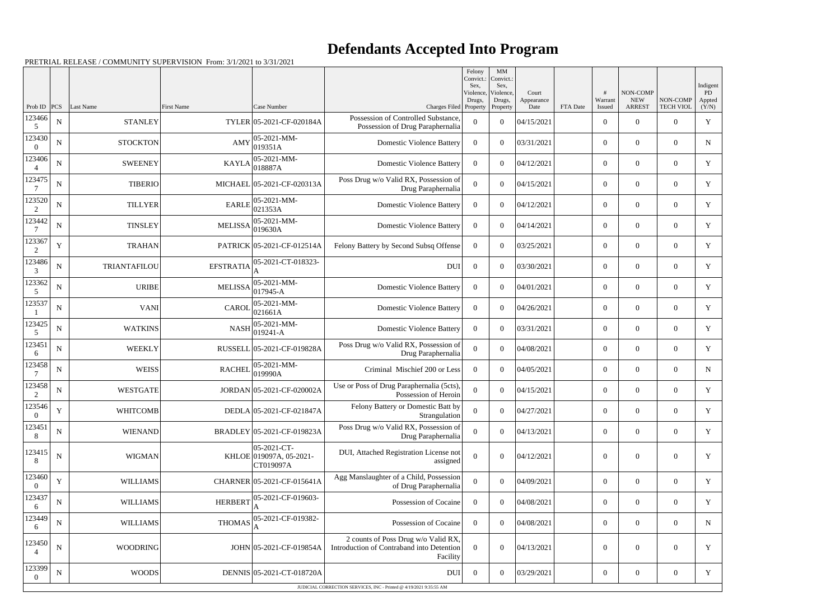|                          |             |                 |                   |                                                     |                                                                                              | Felony<br>Convict.:<br>Sex. | MM<br>Convict.<br>Sex,          |                             |          |                   |                                         |                              | Indigent              |
|--------------------------|-------------|-----------------|-------------------|-----------------------------------------------------|----------------------------------------------------------------------------------------------|-----------------------------|---------------------------------|-----------------------------|----------|-------------------|-----------------------------------------|------------------------------|-----------------------|
| Prob ID                  | PCS         | Last Name       | <b>First Name</b> | Case Number                                         | Charges Filed Property                                                                       | Violence,<br>Drugs,         | Violence,<br>Drugs,<br>Property | Court<br>Appearance<br>Date | FTA Date | Warrant<br>Issued | NON-COMP<br><b>NEW</b><br><b>ARREST</b> | NON-COMP<br><b>TECH VIOL</b> | PD<br>Appted<br>(Y/N) |
| 123466<br>5              | ${\bf N}$   | <b>STANLEY</b>  |                   | TYLER 05-2021-CF-020184A                            | Possession of Controlled Substance,<br>Possession of Drug Paraphernalia                      | $\theta$                    | $\theta$                        | 04/15/2021                  |          | $\overline{0}$    | $\overline{0}$                          | $\overline{0}$               | $\mathbf Y$           |
| 123430<br>$\Omega$       | ${\bf N}$   | <b>STOCKTON</b> | AMY               | 05-2021-MM-<br>019351A                              | <b>Domestic Violence Battery</b>                                                             | $\Omega$                    | $\theta$                        | 03/31/2021                  |          | $\overline{0}$    | $\theta$                                | $\overline{0}$               | N                     |
| 123406<br>$\overline{4}$ | N           | <b>SWEENEY</b>  |                   | 05-2021-MM-<br>$KAYLA$ 018887A                      | <b>Domestic Violence Battery</b>                                                             | $\overline{0}$              | $\theta$                        | 04/12/2021                  |          | $\overline{0}$    | $\overline{0}$                          | $\overline{0}$               | $\mathbf Y$           |
| 123475                   | N           | <b>TIBERIO</b>  |                   | MICHAEL 05-2021-CF-020313A                          | Poss Drug w/o Valid RX, Possession of<br>Drug Paraphernalia                                  | 0                           | $\theta$                        | 04/15/2021                  |          | $\overline{0}$    | $\overline{0}$                          | $\overline{0}$               | Y                     |
| 123520<br>2              | ${\bf N}$   | <b>TILLYER</b>  | <b>EARLE</b>      | 05-2021-MM-<br>021353A                              | <b>Domestic Violence Battery</b>                                                             | $\Omega$                    | $\Omega$                        | 04/12/2021                  |          | $\overline{0}$    | $\theta$                                | $\overline{0}$               | Y                     |
| 123442                   | N           | <b>TINSLEY</b>  | <b>MELISSA</b>    | $ 05 - 2021 - MM -$<br>019630A                      | <b>Domestic Violence Battery</b>                                                             | $\Omega$                    | $\theta$                        | 04/14/2021                  |          | $\overline{0}$    | $\theta$                                | $\overline{0}$               | Y                     |
| 123367<br>2              | $\mathbf Y$ | <b>TRAHAN</b>   |                   | PATRICK 05-2021-CF-012514A                          | Felony Battery by Second Subsq Offense                                                       | $\overline{0}$              | $\theta$                        | 03/25/2021                  |          | $\overline{0}$    | $\overline{0}$                          | $\overline{0}$               | Y                     |
| 123486<br>3              | N           | TRIANTAFILOU    | <b>EFSTRATIA</b>  | 05-2021-CT-018323-                                  | <b>DUI</b>                                                                                   | $\overline{0}$              | $\theta$                        | 03/30/2021                  |          | $\overline{0}$    | $\overline{0}$                          | $\overline{0}$               | Y                     |
| 123362<br>5              | N           | URIBE           | <b>MELISSA</b>    | 05-2021-MM-<br>017945-A                             | <b>Domestic Violence Battery</b>                                                             | $\Omega$                    | $\theta$                        | 04/01/2021                  |          | $\overline{0}$    | $\theta$                                | $\overline{0}$               | $\mathbf Y$           |
| 123537                   | N           | <b>VANI</b>     | <b>CAROI</b>      | 05-2021-MM-<br> 021661A                             | <b>Domestic Violence Battery</b>                                                             | $\Omega$                    | $\theta$                        | 04/26/2021                  |          | $\overline{0}$    | $\theta$                                | $\overline{0}$               | Y                     |
| 123425<br>5              | ${\bf N}$   | <b>WATKINS</b>  | NASH              | 05-2021-MM-<br>$ 019241 - A$                        | <b>Domestic Violence Battery</b>                                                             | $\overline{0}$              | $\theta$                        | 03/31/2021                  |          | $\overline{0}$    | $\overline{0}$                          | $\overline{0}$               | Y                     |
| 123451<br>6              | ${\bf N}$   | <b>WEEKLY</b>   |                   | RUSSELL 05-2021-CF-019828A                          | Poss Drug w/o Valid RX, Possession of<br>Drug Paraphernalia                                  | 0                           | $\theta$                        | 04/08/2021                  |          | $\overline{0}$    | $\overline{0}$                          | $\overline{0}$               | Y                     |
| 123458                   | ${\bf N}$   | <b>WEISS</b>    | <b>RACHEL</b>     | 05-2021-MM-<br> 019990A                             | Criminal Mischief 200 or Less                                                                | $\Omega$                    | $\Omega$                        | 04/05/2021                  |          | $\overline{0}$    | $\overline{0}$                          | $\overline{0}$               | $\mathbf N$           |
| 123458<br>2              | ${\bf N}$   | <b>WESTGATE</b> |                   | JORDAN 05-2021-CF-020002A                           | Use or Poss of Drug Paraphernalia (5cts),<br>Possession of Heroin                            | $\Omega$                    | $\theta$                        | 04/15/2021                  |          | $\overline{0}$    | $\overline{0}$                          | $\overline{0}$               | Y                     |
| 123546<br>$\overline{0}$ | $\mathbf Y$ | <b>WHITCOMB</b> |                   | DEDLA 05-2021-CF-021847A                            | Felony Battery or Domestic Batt by<br>Strangulation                                          | $\overline{0}$              | $\overline{0}$                  | 04/27/2021                  |          | $\boldsymbol{0}$  | $\mathbf{0}$                            | $\overline{0}$               | Y                     |
| 123451<br>8              | ${\bf N}$   | <b>WIENAND</b>  |                   | BRADLEY 05-2021-CF-019823A                          | Poss Drug w/o Valid RX, Possession of<br>Drug Paraphernalia                                  | $\overline{0}$              | $\overline{0}$                  | 04/13/2021                  |          | $\boldsymbol{0}$  | $\boldsymbol{0}$                        | $\boldsymbol{0}$             | Y                     |
| 123415<br>8              | ${\bf N}$   | WIGMAN          |                   | 05-2021-CT-<br>KHLOE 019097A, 05-2021-<br>CT019097A | DUI, Attached Registration License not<br>assigned                                           | $\boldsymbol{0}$            | $\overline{0}$                  | 04/12/2021                  |          | $\overline{0}$    | $\mathbf{0}$                            | $\overline{0}$               | Y                     |
| 123460<br>$\Omega$       | $\mathbf Y$ | <b>WILLIAMS</b> |                   | CHARNER 05-2021-CF-015641A                          | Agg Manslaughter of a Child, Possession<br>of Drug Paraphernalia                             | $\overline{0}$              | $\overline{0}$                  | 04/09/2021                  |          | $\overline{0}$    | $\overline{0}$                          | $\overline{0}$               | Y                     |
| 123437<br>6              | ${\bf N}$   | <b>WILLIAMS</b> | <b>HERBERT</b>    | 05-2021-CF-019603-                                  | Possession of Cocaine                                                                        | $\overline{0}$              | $\overline{0}$                  | 04/08/2021                  |          | $\boldsymbol{0}$  | $\overline{0}$                          | $\overline{0}$               | $\mathbf Y$           |
| 123449<br>6              | $\mathbf N$ | <b>WILLIAMS</b> | <b>THOMAS</b>     | 05-2021-CF-019382-                                  | Possession of Cocaine                                                                        | $\overline{0}$              | $\overline{0}$                  | 04/08/2021                  |          | $\boldsymbol{0}$  | $\mathbf{0}$                            | $\boldsymbol{0}$             | $\mathbf N$           |
| 123450<br>$\overline{4}$ | ${\bf N}$   | WOODRING        |                   | JOHN 05-2021-CF-019854A                             | 2 counts of Poss Drug w/o Valid RX,<br>Introduction of Contraband into Detention<br>Facility | $\theta$                    | $\boldsymbol{0}$                | 04/13/2021                  |          | $\boldsymbol{0}$  | $\mathbf{0}$                            | $\boldsymbol{0}$             | $\mathbf Y$           |
| 123399<br>$\theta$       | ${\bf N}$   | <b>WOODS</b>    |                   | DENNIS 05-2021-CT-018720A                           | DUI                                                                                          | $\overline{0}$              | $\mathbf{0}$                    | 03/29/2021                  |          | $\boldsymbol{0}$  | $\boldsymbol{0}$                        | $\boldsymbol{0}$             | Y                     |
|                          |             |                 |                   |                                                     | JUDICIAL CORRECTION SERVICES, INC - Printed @ 4/19/2021 9:35:55 AM                           |                             |                                 |                             |          |                   |                                         |                              |                       |